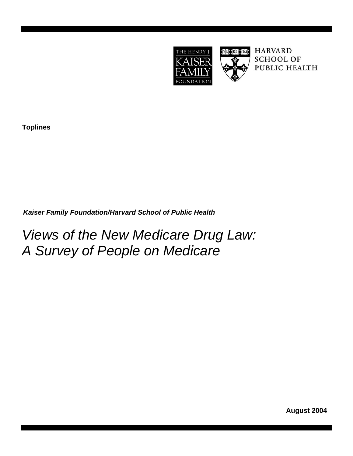

**HARVARD SCHOOL OF PUBLIC HEALTH** 

TAS

**Toplines** 

*Kaiser Family Foundation/Harvard School of Public Health* 

*Views of the New Medicare Drug Law: A Survey of People on Medicare* 

**August 2004**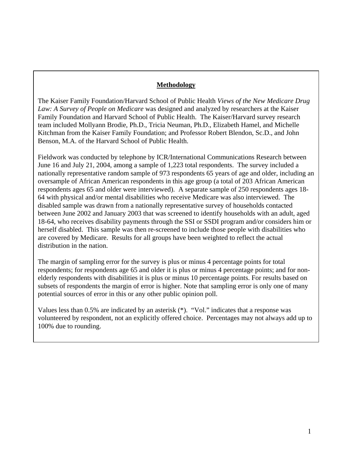### **Methodology**

The Kaiser Family Foundation/Harvard School of Public Health *Views of the New Medicare Drug Law: A Survey of People on Medicare* was designed and analyzed by researchers at the Kaiser Family Foundation and Harvard School of Public Health. The Kaiser/Harvard survey research team included Mollyann Brodie, Ph.D., Tricia Neuman, Ph.D., Elizabeth Hamel, and Michelle Kitchman from the Kaiser Family Foundation; and Professor Robert Blendon, Sc.D., and John Benson, M.A. of the Harvard School of Public Health.

Fieldwork was conducted by telephone by ICR/International Communications Research between June 16 and July 21, 2004, among a sample of 1,223 total respondents. The survey included a nationally representative random sample of 973 respondents 65 years of age and older, including an oversample of African American respondents in this age group (a total of 203 African American respondents ages 65 and older were interviewed). A separate sample of 250 respondents ages 18- 64 with physical and/or mental disabilities who receive Medicare was also interviewed. The disabled sample was drawn from a nationally representative survey of households contacted between June 2002 and January 2003 that was screened to identify households with an adult, aged 18-64, who receives disability payments through the SSI or SSDI program and/or considers him or herself disabled. This sample was then re-screened to include those people with disabilities who are covered by Medicare. Results for all groups have been weighted to reflect the actual distribution in the nation.

The margin of sampling error for the survey is plus or minus 4 percentage points for total respondents; for respondents age 65 and older it is plus or minus 4 percentage points; and for nonelderly respondents with disabilities it is plus or minus 10 percentage points. For results based on subsets of respondents the margin of error is higher. Note that sampling error is only one of many potential sources of error in this or any other public opinion poll.

Values less than 0.5% are indicated by an asterisk (\*). "Vol." indicates that a response was volunteered by respondent, not an explicitly offered choice. Percentages may not always add up to 100% due to rounding.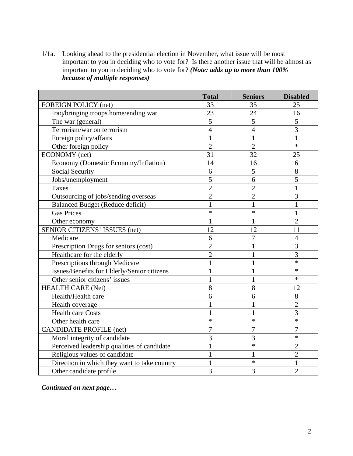1/1a. Looking ahead to the presidential election in November, what issue will be most important to you in deciding who to vote for? Is there another issue that will be almost as important to you in deciding who to vote for? *(Note: adds up to more than 100% because of multiple responses)* 

|                                              | <b>Total</b>    | <b>Seniors</b>  | <b>Disabled</b> |
|----------------------------------------------|-----------------|-----------------|-----------------|
| <b>FOREIGN POLICY (net)</b>                  | 33              | 35              | 25              |
| Iraq/bringing troops home/ending war         | 23              | 24              | 16              |
| The war (general)                            | 5               | 5               | 5               |
| Terrorism/war on terrorism                   | $\overline{4}$  | $\overline{4}$  | 3               |
| Foreign policy/affairs                       | $\mathbf{1}$    | $\mathbf{1}$    | 1               |
| Other foreign policy                         | $\overline{2}$  | $\overline{2}$  | $\ast$          |
| ECONOMY (net)                                | $\overline{31}$ | $\overline{32}$ | 25              |
| Economy (Domestic Economy/Inflation)         | 14              | 16              | 6               |
| Social Security                              | 6               | 5               | 8               |
| Jobs/unemployment                            | 5               | 6               | $\overline{5}$  |
| Taxes                                        | $\overline{2}$  | $\overline{2}$  | 1               |
| Outsourcing of jobs/sending overseas         | $\overline{2}$  | $\overline{2}$  | 3               |
| <b>Balanced Budget (Reduce deficit)</b>      | $\mathbf{1}$    | 1               | $\mathbf{1}$    |
| <b>Gas Prices</b>                            | $\ast$          | $\ast$          | 1               |
| Other economy                                | $\mathbf{1}$    | 1               | $\overline{2}$  |
| <b>SENIOR CITIZENS' ISSUES (net)</b>         | 12              | 12              | 11              |
| Medicare                                     | 6               | 7               | $\overline{4}$  |
| Prescription Drugs for seniors (cost)        | $\overline{2}$  |                 | $\overline{3}$  |
| Healthcare for the elderly                   | $\overline{2}$  | 1               | $\overline{3}$  |
| Prescriptions through Medicare               | 1               |                 | $\ast$          |
| Issues/Benefits for Elderly/Senior citizens  | 1               | 1               | $\ast$          |
| Other senior citizens' issues                | $\mathbf{1}$    | $\mathbf{1}$    | $\ast$          |
| <b>HEALTH CARE (Net)</b>                     | 8               | 8               | 12              |
| Health/Health care                           | 6               | 6               | 8               |
| Health coverage                              | 1               | 1               | $\overline{2}$  |
| <b>Health care Costs</b>                     | 1               |                 | $\overline{3}$  |
| Other health care                            | $\ast$          | $\ast$          | $\ast$          |
| <b>CANDIDATE PROFILE (net)</b>               | $\overline{7}$  | 7               | 7               |
| Moral integrity of candidate                 | 3               | 3               | $\ast$          |
| Perceived leadership qualities of candidate  | $\mathbf{1}$    | $\ast$          | $\overline{2}$  |
| Religious values of candidate                | 1               | 1               | $\overline{2}$  |
| Direction in which they want to take country | 1               | $\ast$          | 1               |
| Other candidate profile                      | 3               | 3               | $\overline{2}$  |

*Continued on next page…*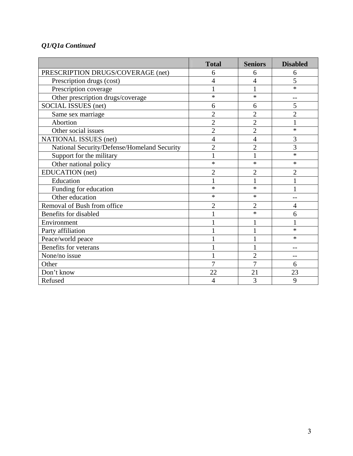# *Q1/Q1a Continued*

|                                             | <b>Total</b>   | <b>Seniors</b> | <b>Disabled</b> |
|---------------------------------------------|----------------|----------------|-----------------|
| PRESCRIPTION DRUGS/COVERAGE (net)           | 6              | 6              | 6               |
| Prescription drugs (cost)                   | 4              | 4              | 5               |
| Prescription coverage                       |                |                | $\ast$          |
| Other prescription drugs/coverage           | $\ast$         | $\ast$         | --              |
| SOCIAL ISSUES (net)                         | 6              | 6              | 5               |
| Same sex marriage                           | $\overline{2}$ | $\overline{2}$ | $\overline{2}$  |
| Abortion                                    | $\overline{2}$ | $\overline{2}$ | 1               |
| Other social issues                         | $\overline{2}$ | $\overline{2}$ | $\ast$          |
| NATIONAL ISSUES (net)                       | 4              | 4              | 3               |
| National Security/Defense/Homeland Security | $\overline{2}$ | $\overline{2}$ | 3               |
| Support for the military                    |                |                | $\ast$          |
| Other national policy                       | $\ast$         | $\ast$         | $\ast$          |
| <b>EDUCATION</b> (net)                      | $\overline{2}$ | $\overline{2}$ | $\overline{2}$  |
| Education                                   | $\mathbf{1}$   | 1              |                 |
| Funding for education                       | $\ast$         | $\ast$         |                 |
| Other education                             | $\ast$         | $\ast$         |                 |
| Removal of Bush from office                 | $\overline{2}$ | $\overline{2}$ | 4               |
| Benefits for disabled                       | $\mathbf{1}$   | $\ast$         | 6               |
| Environment                                 |                |                |                 |
| Party affiliation                           |                |                | *               |
| Peace/world peace                           |                |                | *               |
| Benefits for veterans                       |                |                |                 |
| None/no issue                               |                | $\overline{2}$ | --              |
| Other                                       | 7              | 7              | 6               |
| Don't know                                  | 22             | 21             | 23              |
| Refused                                     | 4              | 3              | 9               |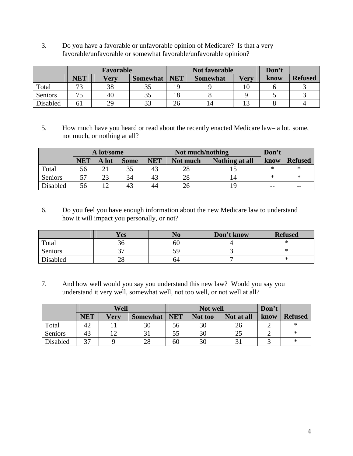3. Do you have a favorable or unfavorable opinion of Medicare? Is that a very favorable/unfavorable or somewhat favorable/unfavorable opinion?

|          |            | Favorable   |                 |            | <b>Not favorable</b> |             |      |                |
|----------|------------|-------------|-----------------|------------|----------------------|-------------|------|----------------|
|          | <b>NET</b> | <b>Very</b> | <b>Somewhat</b> | <b>NET</b> | <b>Somewhat</b>      | <b>Very</b> | know | <b>Refused</b> |
| Total    | 72         | 38          | 35              | 1 Q        |                      |             |      |                |
| Seniors  | 75         | 40          | 35              | 18         |                      |             |      |                |
| Disabled |            | 29          | 33              | 26         | 14                   |             |      |                |

5. How much have you heard or read about the recently enacted Medicare law– a lot, some, not much, or nothing at all?

|          |            | A lot/some |             | Don't<br>Not much/nothing |          |                |       |                |
|----------|------------|------------|-------------|---------------------------|----------|----------------|-------|----------------|
|          | <b>NET</b> | A lot      | <b>Some</b> | NET                       | Not much | Nothing at all | know  | <b>Refused</b> |
| Total    | 56         |            | 35          | 43                        | 28       |                | ∗     |                |
| Seniors  | 57         | 23         | 34          | 43                        | 28       |                | ∗     | ∗              |
| Disabled | 56         |            | 43          | 44                        | 26       |                | $- -$ | $- -$          |

6. Do you feel you have enough information about the new Medicare law to understand how it will impact you personally, or not?

|          | Yes |    | Don't know | <b>Refused</b> |
|----------|-----|----|------------|----------------|
| Total    | 36  | 60 |            |                |
| Seniors  | ີ   | ۲q |            |                |
| Disabled | 28  | 64 |            |                |

7. And how well would you say you understand this new law? Would you say you understand it very well, somewhat well, not too well, or not well at all?

|          |            | Well |                 |            | Not well |            |      |                |
|----------|------------|------|-----------------|------------|----------|------------|------|----------------|
|          | <b>NET</b> | Verv | <b>Somewhat</b> | <b>NET</b> | Not too  | Not at all | know | <b>Refused</b> |
| Total    |            |      |                 | 56         | 30       | 26         |      | ∗              |
| Seniors  | 43         |      |                 |            | 30       | າ -        |      | ∗              |
| Disabled | 37         |      | 28              | 60         | 30       |            |      | ∗              |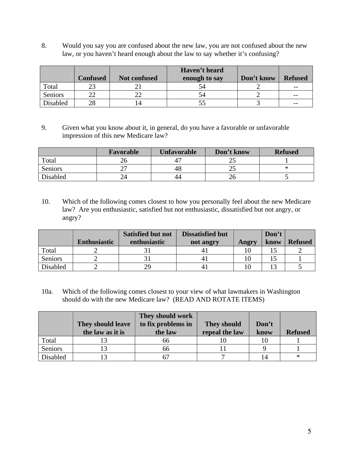8. Would you say you are confused about the new law, you are not confused about the new law, or you haven't heard enough about the law to say whether it's confusing?

|          |                 |                     | Haven't heard |            |                |
|----------|-----------------|---------------------|---------------|------------|----------------|
|          | <b>Confused</b> | <b>Not confused</b> | enough to say | Don't know | <b>Refused</b> |
| Total    |                 |                     |               |            | $- -$          |
| Seniors  | າາ              |                     | 54            |            | $- -$          |
| Disabled | 28              |                     | בכ            |            | $- -$          |

9. Given what you know about it, in general, do you have a favorable or unfavorable impression of this new Medicare law?

|          | Favorable | <b>Unfavorable</b> | Don't know | <b>Refused</b> |
|----------|-----------|--------------------|------------|----------------|
| Total    |           |                    | ~∼         |                |
| Seniors  | -         | 48                 | ~~         |                |
| Disabled |           | 44                 | ∠∪         |                |

10. Which of the following comes closest to how you personally feel about the new Medicare law? Are you enthusiastic, satisfied but not enthusiastic, dissatisfied but not angry, or angry?

|          |                     | <b>Satisfied but not</b> | <b>Dissatisfied but</b> |       | Don't |                |
|----------|---------------------|--------------------------|-------------------------|-------|-------|----------------|
|          | <b>Enthusiastic</b> | enthusiastic             | not angry               | Angry | know  | <b>Refused</b> |
| Total    |                     |                          |                         |       |       |                |
| Seniors  |                     |                          |                         |       |       |                |
| Disabled |                     |                          |                         |       |       |                |

10a. Which of the following comes closest to your view of what lawmakers in Washington should do with the new Medicare law? (READ AND ROTATE ITEMS)

|          | They should leave<br>the law as it is | They should work<br>to fix problems in<br>the law | <b>They should</b><br>repeal the law | Don't<br>know | <b>Refused</b> |
|----------|---------------------------------------|---------------------------------------------------|--------------------------------------|---------------|----------------|
| Total    |                                       | 66                                                |                                      |               |                |
| Seniors  |                                       | 66                                                |                                      |               |                |
| Disabled |                                       |                                                   |                                      |               | *              |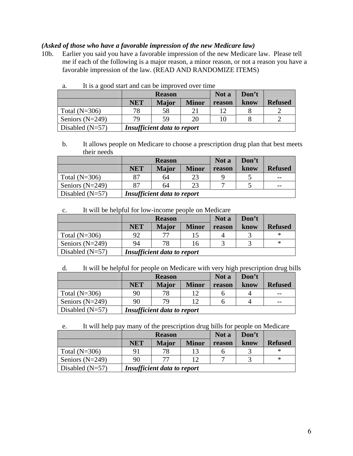### *(Asked of those who have a favorable impression of the new Medicare law)*

10b. Earlier you said you have a favorable impression of the new Medicare law. Please tell me if each of the following is a major reason, a minor reason, or not a reason you have a favorable impression of the law. (READ AND RANDOMIZE ITEMS)

|                   | <b>Reason</b> |                             |              | Not a  | Don't |                |
|-------------------|---------------|-----------------------------|--------------|--------|-------|----------------|
|                   | <b>NET</b>    | <b>Major</b>                | <b>Minor</b> | reason | know  | <b>Refused</b> |
| Total $(N=306)$   | 78            | 58                          |              |        |       |                |
| Seniors $(N=249)$ | 79            | 59                          | 20           | 10     |       |                |
| Disabled $(N=57)$ |               | Insufficient data to report |              |        |       |                |

a. It is a good start and can be improved over time

b. It allows people on Medicare to choose a prescription drug plan that best meets their needs

|                   |            | <b>Reason</b>                      |              |        | Don't |                |
|-------------------|------------|------------------------------------|--------------|--------|-------|----------------|
|                   | <b>NET</b> | <b>Major</b>                       | <b>Minor</b> | reason | know  | <b>Refused</b> |
| Total $(N=306)$   | 87         | 64                                 | 23           |        |       | --             |
| Seniors $(N=249)$ | 87         | 64                                 | 23           |        |       | --             |
| Disabled $(N=57)$ |            | <b>Insufficient data to report</b> |              |        |       |                |

c. It will be helpful for low-income people on Medicare

|                   |            | <b>Reason</b>                      |              | Not a  | Don't |                |
|-------------------|------------|------------------------------------|--------------|--------|-------|----------------|
|                   | <b>NET</b> | <b>Major</b>                       | <b>Minor</b> | reason | know  | <b>Refused</b> |
| Total $(N=306)$   | 92         | 77                                 |              |        |       | ∗              |
| Seniors $(N=249)$ | 94         | 78                                 | 16           |        |       | ∗              |
| Disabled $(N=57)$ |            | <b>Insufficient data to report</b> |              |        |       |                |

d. It will be helpful for people on Medicare with very high prescription drug bills

|                   |            | <b>Reason</b>                      |              | Not a  | Don't |                |
|-------------------|------------|------------------------------------|--------------|--------|-------|----------------|
|                   | <b>NET</b> | <b>Major</b>                       | <b>Minor</b> | reason | know  | <b>Refused</b> |
| Total $(N=306)$   | 90         | 78                                 |              |        |       | $- -$          |
| Seniors $(N=249)$ | 90         | 79                                 |              |        |       | $- -$          |
| Disabled $(N=57)$ |            | <b>Insufficient data to report</b> |              |        |       |                |

e. It will help pay many of the prescription drug bills for people on Medicare

|                   |            | <b>Reason</b>                      |              | Not a  | Don't |                |
|-------------------|------------|------------------------------------|--------------|--------|-------|----------------|
|                   | <b>NET</b> | <b>Major</b>                       | <b>Minor</b> | reason | know  | <b>Refused</b> |
| Total $(N=306)$   | 91         | 78                                 |              |        |       | $\ast$         |
| Seniors $(N=249)$ | 90         | 77                                 |              |        |       | *              |
| Disabled $(N=57)$ |            | <b>Insufficient data to report</b> |              |        |       |                |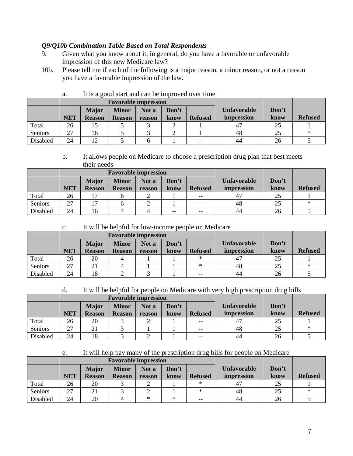# *Q9/Q10b Combination Table Based on Total Respondents*

- 9. Given what you know about it, in general, do you have a favorable or unfavorable impression of this new Medicare law?
- 10b. Please tell me if each of the following is a major reason, a minor reason, or not a reason you have a favorable impression of the law.

|          |            |                               | <b>Favorable impression</b>   |                 |               |                |                                  |               |                |
|----------|------------|-------------------------------|-------------------------------|-----------------|---------------|----------------|----------------------------------|---------------|----------------|
|          | <b>NET</b> | <b>Major</b><br><b>Reason</b> | <b>Minor</b><br><b>Reason</b> | Not a<br>reason | Don't<br>know | <b>Refused</b> | <b>Unfavorable</b><br>impression | Don't<br>know | <b>Refused</b> |
| Total    | 26         | L5                            |                               |                 |               |                |                                  |               |                |
| Seniors  | 27         | 16                            |                               |                 |               |                | 48                               |               | ∗              |
| Disabled | 24         | 12                            |                               |                 |               | $- -$          | 44                               | 26            |                |

#### a. It is a good start and can be improved over time

b. It allows people on Medicare to choose a prescription drug plan that best meets their needs

|          |            |               | <b>Favorable impression</b> |        |       |                |                    |       |                |
|----------|------------|---------------|-----------------------------|--------|-------|----------------|--------------------|-------|----------------|
|          |            | <b>Major</b>  | <b>Minor</b>                | Not a  | Don't |                | <b>Unfavorable</b> | Don't |                |
|          | <b>NET</b> | <b>Reason</b> | <b>Reason</b>               | reason | know  | <b>Refused</b> | impression         | know  | <b>Refused</b> |
| Total    | 26         |               |                             |        |       | $-$            |                    |       |                |
| Seniors  | 27         |               |                             |        |       | $- -$          | 48                 | 25    | ∗              |
| Disabled | 24         | 16            |                             | 4      | $- -$ | $- -$          | 44                 | 26    |                |

c. It will be helpful for low-income people on Medicare

|          |            |               | <b>Favorable impression</b> |        |       |                |                    |       |                |
|----------|------------|---------------|-----------------------------|--------|-------|----------------|--------------------|-------|----------------|
|          |            | <b>Major</b>  | <b>Minor</b>                | Not a  | Don't |                | <b>Unfavorable</b> | Don't |                |
|          | <b>NET</b> | <b>Reason</b> | <b>Reason</b>               | reason | know  | <b>Refused</b> | impression         | know  | <b>Refused</b> |
| Total    | 26         | 20            |                             |        |       | $\ast$         |                    | 25    |                |
| Seniors  | 27<br>ا ک  |               |                             |        |       | $\ast$         | 48                 | 25    | ∗              |
| Disabled | 24         | 18            |                             |        |       | $- -$          | 44                 | 26    |                |

### d. It will be helpful for people on Medicare with very high prescription drug bills

|          |            |               | <b>Favorable impression</b> |        |       |                |                    |       |                |
|----------|------------|---------------|-----------------------------|--------|-------|----------------|--------------------|-------|----------------|
|          |            | <b>Major</b>  | <b>Minor</b>                | Not a  | Don't |                | <b>Unfavorable</b> | Don't |                |
|          | <b>NET</b> | <b>Reason</b> | <b>Reason</b>               | reason | know  | <b>Refused</b> | impression         | know  | <b>Refused</b> |
| Total    | 26         | 20            |                             |        |       | $- -$          |                    |       |                |
| Seniors  | 27         | $\bigcap$     |                             |        |       | $- -$          | 48                 | 25    | ∗              |
| Disabled | 24         | 18            |                             |        |       | $- -$          | 44                 | 26    |                |

### e. It will help pay many of the prescription drug bills for people on Medicare

|          |            |               | <b>Favorable impression</b> |        |        |                |                    |       |                |
|----------|------------|---------------|-----------------------------|--------|--------|----------------|--------------------|-------|----------------|
|          |            | <b>Major</b>  | <b>Minor</b>                | Not a  | Don't  |                | <b>Unfavorable</b> | Don't |                |
|          | <b>NET</b> | <b>Reason</b> | <b>Reason</b>               | reason | know   | <b>Refused</b> | impression         | know  | <b>Refused</b> |
| Total    | 26         | 20            |                             |        |        | ∗              |                    | 25    |                |
| Seniors  | 27         |               |                             |        |        | $^{\ast}$      | 48                 |       |                |
| Disabled | 24         | 20            |                             | ∗      | $\ast$ | $- -$          | 44                 | 26    |                |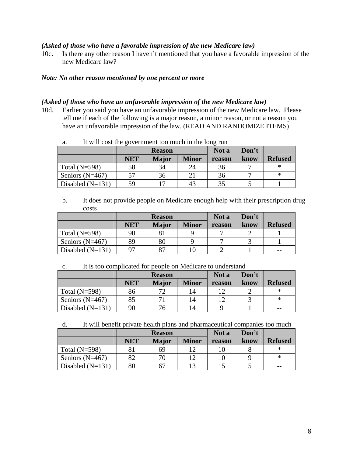### *(Asked of those who have a favorable impression of the new Medicare law)*

10c. Is there any other reason I haven't mentioned that you have a favorable impression of the new Medicare law?

#### *Note: No other reason mentioned by one percent or more*

#### *(Asked of those who have an unfavorable impression of the new Medicare law)*

10d. Earlier you said you have an unfavorable impression of the new Medicare law. Please tell me if each of the following is a major reason, a minor reason, or not a reason you have an unfavorable impression of the law. (READ AND RANDOMIZE ITEMS)

| It will cost the government too much in the folly run |            | <b>Reason</b> |              | Not a  | Don't |                |
|-------------------------------------------------------|------------|---------------|--------------|--------|-------|----------------|
|                                                       | <b>NET</b> | <b>Major</b>  | <b>Minor</b> | reason | know  | <b>Refused</b> |
| Total $(N=598)$                                       | 58         | 34            | 24           | 36     |       | ∗              |
| Seniors $(N=467)$                                     |            | 36            |              | 36     |       | $\ast$         |
| Disabled $(N=131)$                                    | 59         |               | 43           |        |       |                |

a. It will cost the government too much in the long run

b. It does not provide people on Medicare enough help with their prescription drug costs

|                    |            | <b>Reason</b> |              | Not a  | Don't |                |
|--------------------|------------|---------------|--------------|--------|-------|----------------|
|                    | <b>NET</b> | <b>Major</b>  | <b>Minor</b> | reason | know  | <b>Refused</b> |
| Total $(N=598)$    | 90         |               | Q            |        |       |                |
| Seniors $(N=467)$  | 89         | 80            |              |        |       |                |
| Disabled $(N=131)$ |            | 87            |              |        |       | $- -$          |

|  | $\mathbf{c}$ . | It is too complicated for people on Medicare to understand |
|--|----------------|------------------------------------------------------------|
|--|----------------|------------------------------------------------------------|

|                    |            | <b>Reason</b> |              | Not a  | Don't |                |
|--------------------|------------|---------------|--------------|--------|-------|----------------|
|                    | <b>NET</b> | <b>Major</b>  | <b>Minor</b> | reason | know  | <b>Refused</b> |
| Total $(N=598)$    | 86         | 70            | 14           |        |       | ∗              |
| Seniors $(N=467)$  | 85         |               | 14           | 1 າ    |       | ∗              |
| Disabled $(N=131)$ | 90         |               | 14           |        |       | $- -$          |

d. It will benefit private health plans and pharmaceutical companies too much

|                    |            | <b>Reason</b> |                 | Not a  | Don't |                |
|--------------------|------------|---------------|-----------------|--------|-------|----------------|
|                    | <b>NET</b> | <b>Major</b>  | <b>Minor</b>    | reason | know  | <b>Refused</b> |
| Total $(N=598)$    |            | 69            | 1 $\mathcal{D}$ |        |       | ∗              |
| Seniors $(N=467)$  | 82         | 70            | 12              |        |       | $\ast$         |
| Disabled $(N=131)$ | 80         | 67            | 13              |        |       | $- -$          |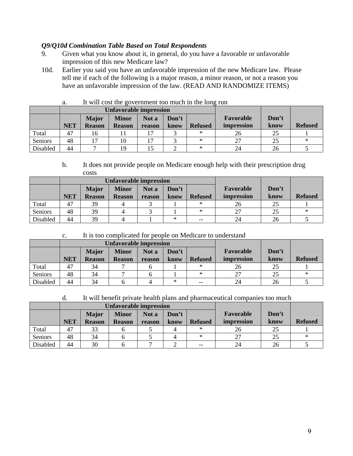### *Q9/Q10d Combination Table Based on Total Respondents*

- 9. Given what you know about it, in general, do you have a favorable or unfavorable impression of this new Medicare law?
- 10d. Earlier you said you have an unfavorable impression of the new Medicare law. Please tell me if each of the following is a major reason, a minor reason, or not a reason you have an unfavorable impression of the law. (READ AND RANDOMIZE ITEMS)

|          |            |               | <b>Unfavorable impression</b> |        |           |                |            |      |                |
|----------|------------|---------------|-------------------------------|--------|-----------|----------------|------------|------|----------------|
|          |            | <b>Major</b>  | <b>Minor</b>                  | Not a  | Favorable | Don't          |            |      |                |
|          | <b>NET</b> | <b>Reason</b> | <b>Reason</b>                 | reason | know      | <b>Refused</b> | impression | know | <b>Refused</b> |
| Total    | 47         | 16            |                               |        |           | $\ast$         | 26         | 25   |                |
| Seniors  | 48         |               | 10                            |        |           | $\ast$         | 27         |      | ∗              |
| Disabled | 44         |               | 19                            |        |           | $*$            | 24         | 26   |                |

### a. It will cost the government too much in the long run

b. It does not provide people on Medicare enough help with their prescription drug costs

|          |            |               | <b>Unfavorable impression</b> |        |           |                |                   |      |                |
|----------|------------|---------------|-------------------------------|--------|-----------|----------------|-------------------|------|----------------|
|          |            | <b>Major</b>  | <b>Minor</b>                  | Not a  | Favorable | Don't          |                   |      |                |
|          | <b>NET</b> | <b>Reason</b> | <b>Reason</b>                 | reason | know      | <b>Refused</b> | <i>impression</i> | know | <b>Refused</b> |
| Total    | 47         | 39            |                               |        |           | $\ast$         | 26                | 25   |                |
| Seniors  | 48         | 39            |                               |        |           | $\ast$         |                   | 25   | ∗              |
| Disabled | 44         | 39            |                               |        | $^{\ast}$ | $- -$          | 24                | 26   |                |

### c. It is too complicated for people on Medicare to understand

|          |            |               | <b>Unfavorable impression</b> |        |           |                |            |      |                |
|----------|------------|---------------|-------------------------------|--------|-----------|----------------|------------|------|----------------|
|          |            | <b>Major</b>  | <b>Minor</b>                  | Not a  | Favorable | Don't          |            |      |                |
|          | <b>NET</b> | <b>Reason</b> | <b>Reason</b>                 | reason | know      | <b>Refused</b> | impression | know | <b>Refused</b> |
| Total    | 47         | 34            |                               |        |           | $\ast$         | 26         | 25   |                |
| Seniors  | 48         | 34            |                               |        |           | $\ast$         | 27         | 25   | ∗              |
| Disabled | 44         | 34            |                               |        | ∗         | $- -$          | 24         | 26   |                |

d. It will benefit private health plans and pharmaceutical companies too much

|          |            |                                                | <b>Unfavorable impression</b> |        |      |                |            |       |                |
|----------|------------|------------------------------------------------|-------------------------------|--------|------|----------------|------------|-------|----------------|
|          |            | <b>Major</b><br>Don't<br><b>Minor</b><br>Not a |                               |        |      |                |            | Don't |                |
|          | <b>NET</b> | <b>Reason</b>                                  | <b>Reason</b>                 | reason | know | <b>Refused</b> | impression | know  | <b>Refused</b> |
| Total    | 47         | 33                                             |                               |        |      | ∗              | 26         | 25    |                |
| Seniors  | 48         | 34                                             |                               |        |      | $\ast$         |            | 25    | ∗              |
| Disabled | 44         | 30                                             |                               |        |      | $- -$          | 24         | 26    |                |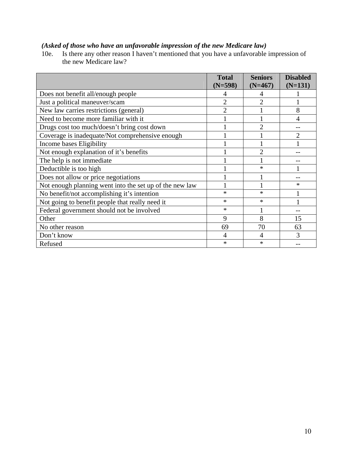### *(Asked of those who have an unfavorable impression of the new Medicare law)*

10e. Is there any other reason I haven't mentioned that you have a unfavorable impression of the new Medicare law?

|                                                         | <b>Total</b><br>$(N=598)$ | <b>Seniors</b><br>$(N=467)$ | <b>Disabled</b><br>$(N=131)$ |
|---------------------------------------------------------|---------------------------|-----------------------------|------------------------------|
| Does not benefit all/enough people                      | 4                         |                             |                              |
| Just a political maneuver/scam                          | $\overline{2}$            | $\overline{2}$              |                              |
| New law carries restrictions (general)                  | $\overline{2}$            |                             | 8                            |
| Need to become more familiar with it                    |                           |                             |                              |
| Drugs cost too much/doesn't bring cost down             |                           |                             |                              |
| Coverage is inadequate/Not comprehensive enough         |                           |                             |                              |
| Income bases Eligibility                                |                           |                             |                              |
| Not enough explanation of it's benefits                 |                           | $\overline{2}$              |                              |
| The help is not immediate                               |                           |                             |                              |
| Deductible is too high                                  |                           | *                           |                              |
| Does not allow or price negotiations                    |                           |                             |                              |
| Not enough planning went into the set up of the new law |                           |                             | $\ast$                       |
| No benefit/not accomplishing it's intention             | $\ast$                    | $\ast$                      |                              |
| Not going to benefit people that really need it         | $\ast$                    | $\ast$                      |                              |
| Federal government should not be involved               | $\ast$                    |                             |                              |
| Other                                                   | 9                         | 8                           | 15                           |
| No other reason                                         | 69                        | 70                          | 63                           |
| Don't know                                              | 4                         | 4                           | 3                            |
| Refused                                                 | $\ast$                    | $\ast$                      |                              |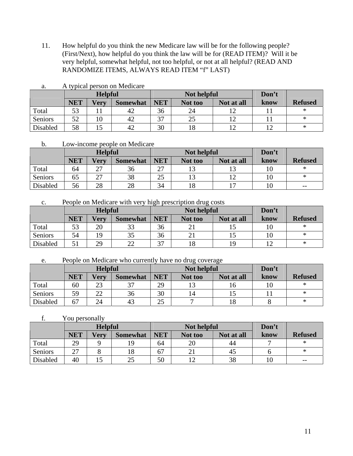11. How helpful do you think the new Medicare law will be for the following people? (First/Next), how helpful do you think the law will be for (READ ITEM)? Will it be very helpful, somewhat helpful, not too helpful, or not at all helpful? (READ AND RANDOMIZE ITEMS, ALWAYS READ ITEM "f" LAST)

|                | <b>Helpful</b> |      |                 |            | Not helpful |            | Don't |                |
|----------------|----------------|------|-----------------|------------|-------------|------------|-------|----------------|
|                | <b>NET</b>     | Verv | <b>Somewhat</b> | <b>NET</b> | Not too     | Not at all | know  | <b>Refused</b> |
| Total          | 53             |      | 42              | 36         | 24          |            |       | ∗              |
| <b>Seniors</b> | 52             | 10   | 42              | 27         | 25          |            |       | ∗              |
| Disabled       | 58             |      | 42              | 30         | 18          |            |       | ∗              |

a. A typical person on Medicare

b. Low-income people on Medicare

|                | <b>Helpful</b> |             |                 |            | Not helpful |            | Don't |                |
|----------------|----------------|-------------|-----------------|------------|-------------|------------|-------|----------------|
|                | <b>NET</b>     | <b>Very</b> | <b>Somewhat</b> | <b>NET</b> | Not too     | Not at all | know  | <b>Refused</b> |
| Total          | 64             | つつ          | 36              | つフ         |             |            |       | ∗              |
| <b>Seniors</b> | 65             | 27          | 38              | 25         |             | 12         | 10    | ∗              |
| Disabled       | 56             | 28          | 28              | 34         |             | ר ו        |       | $- -$          |

c. People on Medicare with very high prescription drug costs

|          | <b>Helpful</b> |      |                 |            | Not helpful | Don't      |      |                |
|----------|----------------|------|-----------------|------------|-------------|------------|------|----------------|
|          | <b>NET</b>     | Very | <b>Somewhat</b> | <b>NET</b> | Not too     | Not at all | know | <b>Refused</b> |
| Total    | 53             | 20   | 33              | 36         | ∠⊥          |            |      | ∗              |
| Seniors  | 54             | 1 Q  | 35              | 36         |             | ⊥J         |      | ∗              |
| Disabled |                | 29   | ∠∠              | 27         | 18          |            |      | ∗              |

e. People on Medicare who currently have no drug coverage

|                | <b>Helpful</b> |             |                 |            | Not helpful | Don't      |      |                |
|----------------|----------------|-------------|-----------------|------------|-------------|------------|------|----------------|
|                | <b>NET</b>     | <b>Very</b> | <b>Somewhat</b> | <b>NET</b> | Not too     | Not at all | know | <b>Refused</b> |
| Total          | 60             | 23          | 27              | 29         |             | 10         |      | ∗              |
| <b>Seniors</b> | 59             | 22          | 36              | 30         | 14          |            |      | ∗              |
| Disabled       | 67             | 24          | 43              | 25         |             | 18         |      | ∗              |

f. You personally

|          | <b>Helpful</b> |             |                 |            | Not helpful    |            | Don't |                |
|----------|----------------|-------------|-----------------|------------|----------------|------------|-------|----------------|
|          | <b>NET</b>     | <b>Very</b> | <b>Somewhat</b> | <b>NET</b> | Not too        | Not at all | know  | <b>Refused</b> |
| Total    | 29             |             | 19              | 64         | 20             | 44         |       | ∗              |
| Seniors  | 27<br>∠        |             | 18              | 67         | $\overline{ }$ | 45         |       | ∗              |
| Disabled | 40             |             | 25              | 50         |                | 38         |       | $- -$          |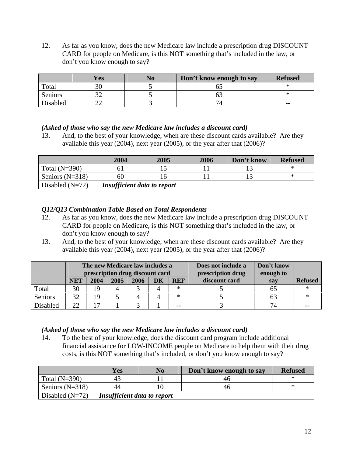12. As far as you know, does the new Medicare law include a prescription drug DISCOUNT CARD for people on Medicare, is this NOT something that's included in the law, or don't you know enough to say?

|          | <b>Yes</b> | No | Don't know enough to say | <b>Refused</b> |
|----------|------------|----|--------------------------|----------------|
| Total    |            |    |                          |                |
| Seniors  |            |    |                          |                |
| Disabled | --         |    |                          | $- -$          |

### *(Asked of those who say the new Medicare law includes a discount card)*

13. And, to the best of your knowledge, when are these discount cards available? Are they available this year (2004), next year (2005), or the year after that (2006)?

|                   | 2004                        | 2005 | 2006 | Don't know | <b>Refused</b> |
|-------------------|-----------------------------|------|------|------------|----------------|
| Total $(N=390)$   |                             |      |      |            |                |
| Seniors $(N=318)$ | 60                          |      |      |            |                |
| Disabled $(N=72)$ | Insufficient data to report |      |      |            |                |

# *Q12/Q13 Combination Table Based on Total Respondents*

- 12. As far as you know, does the new Medicare law include a prescription drug DISCOUNT CARD for people on Medicare, is this NOT something that's included in the law, or don't you know enough to say?
- 13. And, to the best of your knowledge, when are these discount cards available? Are they available this year (2004), next year (2005), or the year after that (2006)?

|          |            | The new Medicare law includes a<br>prescription drug discount card |      |      |    |            | Does not include a<br>prescription drug | Don't know<br>enough to |                |
|----------|------------|--------------------------------------------------------------------|------|------|----|------------|-----------------------------------------|-------------------------|----------------|
|          | <b>NET</b> | 2004                                                               | 2005 | 2006 | DK | <b>REF</b> | discount card                           | say                     | <b>Refused</b> |
| Total    | 30         | 19                                                                 |      |      |    | $\ast$     |                                         | 65                      |                |
| Seniors  | 32         | 19                                                                 |      |      |    | $\ast$     |                                         | 63                      |                |
| Disabled | 22         | $\overline{ }$                                                     |      |      |    | $ -$       |                                         | 74                      |                |

# *(Asked of those who say the new Medicare law includes a discount card)*

14. To the best of your knowledge, does the discount card program include additional financial assistance for LOW-INCOME people on Medicare to help them with their drug costs, is this NOT something that's included, or don't you know enough to say?

|                   | <b>Yes</b>                         | No | Don't know enough to say |  |  |
|-------------------|------------------------------------|----|--------------------------|--|--|
| Total $(N=390)$   | 43                                 |    | 40                       |  |  |
| Seniors $(N=318)$ |                                    |    | 46                       |  |  |
| Disabled $(N=72)$ | <b>Insufficient data to report</b> |    |                          |  |  |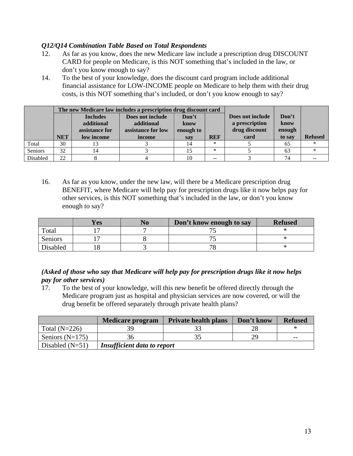# *Q12/Q14 Combination Table Based on Total Respondents*

- 12. As far as you know, does the new Medicare law include a prescription drug DISCOUNT CARD for people on Medicare, is this NOT something that's included in the law, or don't you know enough to say?
- 14. To the best of your knowledge, does the discount card program include additional financial assistance for LOW-INCOME people on Medicare to help them with their drug costs, is this NOT something that's included, or don't you know enough to say?

|         |            |                 | The new Medicare law includes a prescription drug discount card |           |            |                  |        |                |
|---------|------------|-----------------|-----------------------------------------------------------------|-----------|------------|------------------|--------|----------------|
|         |            | <b>Includes</b> | Does not include                                                | Don't     |            | Does not include | Don't  |                |
|         |            | additional      | additional                                                      | know      |            | a prescription   | know   |                |
|         |            | assistance for  | assistance for low                                              | enough to |            | drug discount    | enough |                |
|         | <b>NET</b> | low income      | income                                                          | sav       | <b>REF</b> | card             | to say | <b>Refused</b> |
|         |            |                 |                                                                 |           |            |                  |        |                |
| Total   | 30         |                 |                                                                 | 14        | $^{\ast}$  |                  | 65     | ∗              |
| Seniors | 32         | 14              |                                                                 |           | $\ast$     |                  | 63     | ∗              |

16. As far as you know, under the new law, will there be a Medicare prescription drug BENEFIT, where Medicare will help pay for prescription drugs like it now helps pay for other services, is this NOT something that's included in the law, or don't you know enough to say?

|          | <b>Yes</b> | $\bf No$ | Don't know enough to say | <b>Refused</b> |
|----------|------------|----------|--------------------------|----------------|
| Total    |            |          |                          |                |
| Seniors  |            |          |                          |                |
| Disabled |            |          | ச                        |                |

# *(Asked of those who say that Medicare will help pay for prescription drugs like it now helps pay for other services)*

17. To the best of your knowledge, will this new benefit be offered directly through the Medicare program just as hospital and physician services are now covered, or will the drug benefit be offered separately through private health plans?

|                   | Medicare program            | <b>Private health plans</b> | Don't know | <b>Refused</b> |
|-------------------|-----------------------------|-----------------------------|------------|----------------|
| Total $(N=226)$   |                             |                             |            |                |
| Seniors $(N=175)$ |                             |                             | 29         | $- -$          |
| Disabled $(N=51)$ | Insufficient data to report |                             |            |                |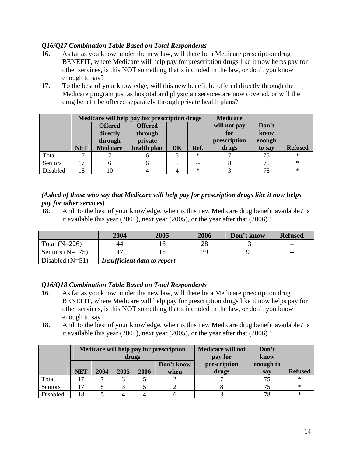# *Q16/Q17 Combination Table Based on Total Respondents*

- 16. As far as you know, under the new law, will there be a Medicare prescription drug BENEFIT, where Medicare will help pay for prescription drugs like it now helps pay for other services, is this NOT something that's included in the law, or don't you know enough to say?
- 17. To the best of your knowledge, will this new benefit be offered directly through the Medicare program just as hospital and physician services are now covered, or will the drug benefit be offered separately through private health plans?

|          |                 |                                       | Medicare will help pay for prescription drugs |           |        | <b>Medicare</b>                     |                         |                |
|----------|-----------------|---------------------------------------|-----------------------------------------------|-----------|--------|-------------------------------------|-------------------------|----------------|
|          |                 | <b>Offered</b><br>directly<br>through | <b>Offered</b><br>through<br>private          |           |        | will not pay<br>for<br>prescription | Don't<br>know<br>enough |                |
|          | <b>NET</b>      | <b>Medicare</b>                       | health plan                                   | <b>DK</b> | Ref.   | drugs                               | to say                  | <b>Refused</b> |
| Total    | $\overline{17}$ |                                       |                                               |           | $\ast$ |                                     | 75                      | $\ast$         |
| Seniors  | 17              |                                       |                                               |           | --     |                                     | 75                      | $\ast$         |
| Disabled | 18              |                                       |                                               |           | $\ast$ |                                     | 78                      | $\ast$         |

# *(Asked of those who say that Medicare will help pay for prescription drugs like it now helps pay for other services)*

18. And, to the best of your knowledge, when is this new Medicare drug benefit available? Is it available this year (2004), next year (2005), or the year after that (2006)?

|                   | 2004                               | 2005 | 2006 | Don't know | <b>Refused</b> |
|-------------------|------------------------------------|------|------|------------|----------------|
| Total $(N=226)$   | 44                                 |      |      |            | $- -$          |
| Seniors $(N=175)$ |                                    |      | 2G   |            | $- -$          |
| Disabled $(N=51)$ | <b>Insufficient data to report</b> |      |      |            |                |

# *Q16/Q18 Combination Table Based on Total Respondents*

- 16. As far as you know, under the new law, will there be a Medicare prescription drug BENEFIT, where Medicare will help pay for prescription drugs like it now helps pay for other services, is this NOT something that's included in the law, or don't you know enough to say?
- 18. And, to the best of your knowledge, when is this new Medicare drug benefit available? Is it available this year (2004), next year (2005), or the year after that (2006)?

|          |            |      |      |      | Medicare will help pay for prescription | <b>Medicare will not</b> | Don't     |                |
|----------|------------|------|------|------|-----------------------------------------|--------------------------|-----------|----------------|
|          | drugs      |      |      |      |                                         | pay for                  | know      |                |
|          |            |      |      |      | Don't know                              | prescription             | enough to |                |
|          | <b>NET</b> | 2004 | 2005 | 2006 | when                                    | drugs                    | say       | <b>Refused</b> |
| Total    |            |      |      |      |                                         |                          | 75        |                |
| Seniors  |            |      |      |      |                                         |                          | 75        | ∗              |
| Disabled | 18         |      |      |      |                                         |                          | 78        | $^{\ast}$      |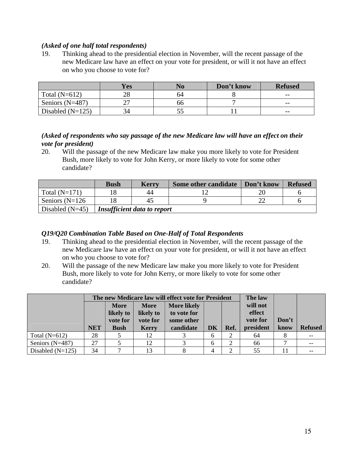### *(Asked of one half total respondents)*

19. Thinking ahead to the presidential election in November, will the recent passage of the new Medicare law have an effect on your vote for president, or will it not have an effect on who you choose to vote for?

|                    | <b>Yes</b> | $\mathbf{No}$ | Don't know | <b>Refused</b> |
|--------------------|------------|---------------|------------|----------------|
| Total $(N=612)$    | 28         | 64            |            | $- -$          |
| Seniors $(N=487)$  |            | 66            |            | $- -$          |
| Disabled $(N=125)$ | 34         |               |            | $- -$          |

### *(Asked of respondents who say passage of the new Medicare law will have an effect on their vote for president)*

20. Will the passage of the new Medicare law make you more likely to vote for President Bush, more likely to vote for John Kerry, or more likely to vote for some other candidate?

|                   | <b>Bush</b>                 | <b>Kerry</b> | <b>Some other candidate</b> | Don't know | <b>Refused</b> |
|-------------------|-----------------------------|--------------|-----------------------------|------------|----------------|
| Total $(N=171)$   | 18                          | 44           |                             |            |                |
| Seniors $(N=126)$ |                             | 45           |                             |            |                |
| Disabled $(N=45)$ | Insufficient data to report |              |                             |            |                |

### *Q19/Q20 Combination Table Based on One-Half of Total Respondents*

- 19. Thinking ahead to the presidential election in November, will the recent passage of the new Medicare law have an effect on your vote for president, or will it not have an effect on who you choose to vote for?
- 20. Will the passage of the new Medicare law make you more likely to vote for President Bush, more likely to vote for John Kerry, or more likely to vote for some other candidate?

|                    |            |                                      |                                      | The new Medicare law will effect vote for President |           |      | The law                        |       |                |
|--------------------|------------|--------------------------------------|--------------------------------------|-----------------------------------------------------|-----------|------|--------------------------------|-------|----------------|
|                    |            | <b>More</b><br>likely to<br>vote for | <b>More</b><br>likely to<br>vote for | <b>More likely</b><br>to vote for<br>some other     |           |      | will not<br>effect<br>vote for | Don't |                |
|                    | <b>NET</b> | <b>Bush</b>                          | <b>Kerry</b>                         | candidate                                           | <b>DK</b> | Ref. | president                      | know  | <b>Refused</b> |
| Total $(N=612)$    | 28         |                                      | 12                                   |                                                     | 6         | ◠    | 64                             |       |                |
| Seniors $(N=487)$  | 27         |                                      | 12                                   |                                                     | 6         |      | 66                             |       |                |
| Disabled $(N=125)$ | 34         |                                      | 13                                   |                                                     | 4         |      | 55                             |       |                |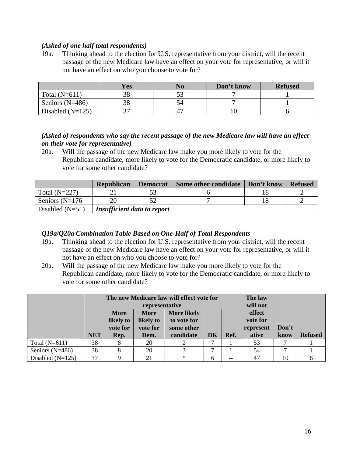### *(Asked of one half total respondents)*

19a. Thinking ahead to the election for U.S. representative from your district, will the recent passage of the new Medicare law have an effect on your vote for representative, or will it not have an effect on who you choose to vote for?

|                    | <b>Yes</b> | No <sup></sup> | Don't know | <b>Refused</b> |
|--------------------|------------|----------------|------------|----------------|
| Total $(N=611)$    | 38         | ີ              |            |                |
| Seniors $(N=486)$  | 38         |                |            |                |
| Disabled $(N=125)$ |            | $4^{\circ}$    |            |                |

## *(Asked of respondents who say the recent passage of the new Medicare law will have an effect on their vote for representative)*

20a. Will the passage of the new Medicare law make you more likely to vote for the Republican candidate, more likely to vote for the Democratic candidate, or more likely to vote for some other candidate?

|                   | <b>Republican</b>           | <b>Democrat</b> | <b>Some other candidate</b> | Don't know | <b>Refused</b> |
|-------------------|-----------------------------|-----------------|-----------------------------|------------|----------------|
| Total $(N=227)$   |                             |                 |                             |            |                |
| Seniors $(N=176$  | 20                          |                 |                             |            |                |
| Disabled $(N=51)$ | Insufficient data to report |                 |                             |            |                |

### *Q19a/Q20a Combination Table Based on One-Half of Total Respondents*

- 19a. Thinking ahead to the election for U.S. representative from your district, will the recent passage of the new Medicare law have an effect on your vote for representative, or will it not have an effect on who you choose to vote for?
- 20a. Will the passage of the new Medicare law make you more likely to vote for the Republican candidate, more likely to vote for the Democratic candidate, or more likely to vote for some other candidate?

|                    |            |                                      | representative                       | The new Medicare law will effect vote for       |           |       | The law<br>will not             |       |                |
|--------------------|------------|--------------------------------------|--------------------------------------|-------------------------------------------------|-----------|-------|---------------------------------|-------|----------------|
|                    |            | <b>More</b><br>likely to<br>vote for | <b>More</b><br>likely to<br>vote for | <b>More likely</b><br>to vote for<br>some other |           |       | effect<br>vote for<br>represent | Don't |                |
|                    | <b>NET</b> | Rep.                                 | Dem.                                 | candidate                                       | <b>DK</b> | Ref.  | ative                           | know  | <b>Refused</b> |
| Total $(N=611)$    | 38         |                                      | 20                                   |                                                 | ⇁         |       | 53                              |       |                |
| Seniors $(N=486)$  | 38         |                                      | 20                                   |                                                 | ⇁         |       | 54                              |       |                |
| Disabled $(N=125)$ | 37         |                                      | 21                                   | $\ast$                                          | 6         | $- -$ | 47                              | 10    |                |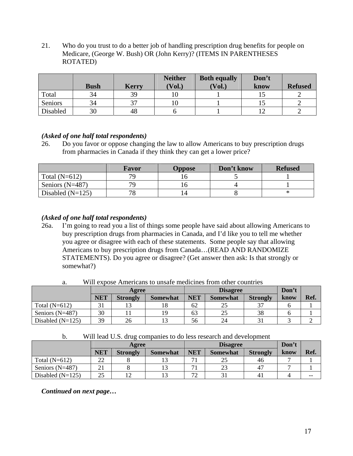21. Who do you trust to do a better job of handling prescription drug benefits for people on Medicare, (George W. Bush) OR (John Kerry)? (ITEMS IN PARENTHESES ROTATED)

|                |             |              | <b>Neither</b> | <b>Both equally</b> | Don't |                |
|----------------|-------------|--------------|----------------|---------------------|-------|----------------|
|                | <b>Bush</b> | <b>Kerry</b> | Vol.)          | (Vol.)              | know  | <b>Refused</b> |
| Total          | 34          | 39           |                |                     |       |                |
| <b>Seniors</b> | 34          | ົ            | 1 V J          |                     |       |                |
| Disabled       | 30          | 48           |                |                     |       |                |

### *(Asked of one half total respondents)*

26. Do you favor or oppose changing the law to allow Americans to buy prescription drugs from pharmacies in Canada if they think they can get a lower price?

|                    | Favor | <b>Oppose</b> | Don't know | <b>Refused</b> |
|--------------------|-------|---------------|------------|----------------|
| Total $(N=612)$    |       |               |            |                |
| Seniors $(N=487)$  |       |               |            |                |
| Disabled $(N=125)$ |       |               |            |                |

### *(Asked of one half total respondents)*

26a. I'm going to read you a list of things some people have said about allowing Americans to buy prescription drugs from pharmacies in Canada, and I'd like you to tell me whether you agree or disagree with each of these statements. Some people say that allowing Americans to buy prescription drugs from Canada…(READ AND RANDOMIZE STATEMENTS). Do you agree or disagree? (Get answer then ask: Is that strongly or somewhat?)

a. Will expose Americans to unsafe medicines from other countries

|                    |            | Agree           |                 |            | <b>Disagree</b> |                 | Don't |      |
|--------------------|------------|-----------------|-----------------|------------|-----------------|-----------------|-------|------|
|                    | <b>NET</b> | <b>Strongly</b> | <b>Somewhat</b> | <b>NET</b> | <b>Somewhat</b> | <b>Strongly</b> | know  | Ref. |
| Total $(N=612)$    | 31         |                 |                 | 62         | 25              | 27              |       |      |
| Seniors $(N=487)$  | 30         |                 | 19              | 63         | 25              | 38              |       |      |
| Disabled $(N=125)$ | 39         | 26              |                 | 56         | 24              |                 |       |      |

b. Will lead U.S. drug companies to do less research and development

|                    | Agree      |                 |                 |            | <b>Disagree</b> | Don't           |      |       |
|--------------------|------------|-----------------|-----------------|------------|-----------------|-----------------|------|-------|
|                    | <b>NET</b> | <b>Strongly</b> | <b>Somewhat</b> | <b>NET</b> | <b>Somewhat</b> | <b>Strongly</b> | know | Ref.  |
| Total $(N=612)$    | 22         |                 | 13              |            | 25              | 46              |      |       |
| Seniors $(N=487)$  |            |                 | 13              |            | 23              | 47              |      |       |
| Disabled $(N=125)$ | 25         | ┸               | 13              | 72<br>∠    |                 |                 |      | $- -$ |

*Continued on next page…*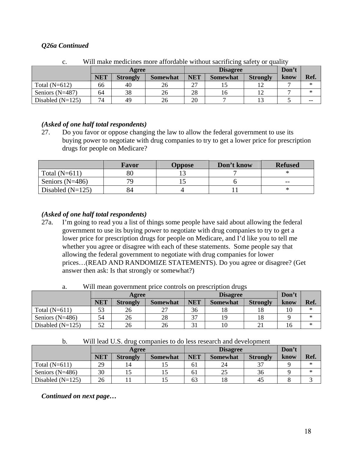### *Q26a Continued*

|                    | Agree      |                 |                 |            | <b>Disagree</b> | Don't           |      |        |  |  |  |  |
|--------------------|------------|-----------------|-----------------|------------|-----------------|-----------------|------|--------|--|--|--|--|
|                    | <b>NET</b> | <b>Strongly</b> | <b>Somewhat</b> | <b>NET</b> | <b>Somewhat</b> | <b>Strongly</b> | know | Ref.   |  |  |  |  |
| Total $(N=612)$    | 66         | 40              | 26              | 27         |                 |                 |      | ∗      |  |  |  |  |
| Seniors $(N=487)$  | 64         | 38              | 26              | 28         | 16              |                 |      | $\ast$ |  |  |  |  |
| Disabled $(N=125)$ | 74         | 49              | 26              | 20         |                 |                 |      | $- -$  |  |  |  |  |

c. Will make medicines more affordable without sacrificing safety or quality

# *(Asked of one half total respondents)*

27. Do you favor or oppose changing the law to allow the federal government to use its buying power to negotiate with drug companies to try to get a lower price for prescription drugs for people on Medicare?

|                    | <b>Favor</b> | <b>Oppose</b> | Don't know | <b>Refused</b> |
|--------------------|--------------|---------------|------------|----------------|
| Total $(N=611)$    | 80           |               |            |                |
| Seniors $(N=486)$  | 70           |               |            | $- -$          |
| Disabled $(N=125)$ | 84           |               |            |                |

# *(Asked of one half total respondents)*

27a. I'm going to read you a list of things some people have said about allowing the federal government to use its buying power to negotiate with drug companies to try to get a lower price for prescription drugs for people on Medicare, and I'd like you to tell me whether you agree or disagree with each of these statements. Some people say that allowing the federal government to negotiate with drug companies for lower prices…(READ AND RANDOMIZE STATEMENTS). Do you agree or disagree? (Get answer then ask: Is that strongly or somewhat?)

| а.                 |            |                 |                 |            | <u>WIII MCAN 20VCMMCM DNCC COMUOIS ON DICSCHDUON GIU2S</u> |                 |       |        |
|--------------------|------------|-----------------|-----------------|------------|------------------------------------------------------------|-----------------|-------|--------|
|                    |            | Agree           |                 |            | <b>Disagree</b>                                            |                 | Don't |        |
|                    | <b>NET</b> | <b>Strongly</b> | <b>Somewhat</b> | <b>NET</b> | <b>Somewhat</b>                                            | <b>Strongly</b> | know  | Ref.   |
| Total $(N=611)$    | 53         | 26              | つつ              | 36         |                                                            |                 |       | $\ast$ |
| Seniors $(N=486)$  | 54         | 26              | 28              | 37         | 19                                                         |                 |       | $\ast$ |
| Disabled $(N=125)$ | 52         | 26              | 26              | 31         | 10                                                         |                 | 16.   | $\ast$ |

a. Will mean government price controls on prescription drugs

| b. |  |  |  |  | Will lead U.S. drug companies to do less research and development |
|----|--|--|--|--|-------------------------------------------------------------------|
|----|--|--|--|--|-------------------------------------------------------------------|

|                    | Agree      |                 |                 |            | <b>Disagree</b> | Don't           |      |      |
|--------------------|------------|-----------------|-----------------|------------|-----------------|-----------------|------|------|
|                    | <b>NET</b> | <b>Strongly</b> | <b>Somewhat</b> | <b>NET</b> | <b>Somewhat</b> | <b>Strongly</b> | know | Ref. |
| Total $(N=611)$    | 29         |                 |                 | 61         | 24              | ົ               |      | ∗    |
| Seniors $(N=486)$  | 30         |                 |                 | 61         | 25              | 36              |      | ∗    |
| Disabled $(N=125)$ | 26         |                 |                 | 63         | 18              | 40              |      |      |

*Continued on next page…*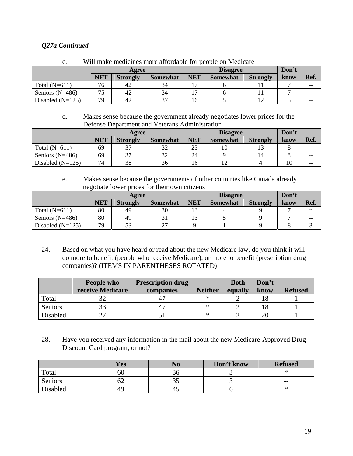# *Q27a Continued*

| v.                 |            | Agree           | <u>u in mare mearchies more anonaashe isi-seosie on mearcare</u> | <b>Disagree</b> |                 |                 | Don't |       |
|--------------------|------------|-----------------|------------------------------------------------------------------|-----------------|-----------------|-----------------|-------|-------|
|                    | <b>NET</b> | <b>Strongly</b> | <b>Somewhat</b>                                                  | <b>NET</b>      | <b>Somewhat</b> | <b>Strongly</b> | know  | Ref.  |
| Total $(N=611)$    | 76         | 42              | 34                                                               | - י             |                 |                 |       | $- -$ |
| Seniors $(N=486)$  | コピ         | 42              | 34                                                               | $\overline{ }$  |                 |                 |       | $- -$ |
| Disabled $(N=125)$ | 79         |                 | 27                                                               | 16              |                 |                 |       | $- -$ |

c. Will make medicines more affordable for people on Medicare

d. Makes sense because the government already negotiates lower prices for the Defense Department and Veterans Administration

|                    |            | Agree           |                 |            | <b>Disagree</b> |                 | Don't |       |
|--------------------|------------|-----------------|-----------------|------------|-----------------|-----------------|-------|-------|
|                    | <b>NET</b> | <b>Strongly</b> | <b>Somewhat</b> | <b>NET</b> | <b>Somewhat</b> | <b>Strongly</b> | know  | Ref.  |
| Total $(N=611)$    | 69         | $\sim$          | 32              | 23         | 10              |                 |       | $- -$ |
| Seniors $(N=486)$  | 69         | $\sim$          | 32              | 24         |                 |                 |       | $- -$ |
| Disabled $(N=125)$ | 74         | 38              | 36              | 16         | 1 າ             |                 |       | $- -$ |

e. Makes sense because the governments of other countries like Canada already negotiate lower prices for their own citizens

|                    | Agree      |                 |                 |            | <b>Disagree</b> | Don't           |      |        |
|--------------------|------------|-----------------|-----------------|------------|-----------------|-----------------|------|--------|
|                    | <b>NET</b> | <b>Strongly</b> | <b>Somewhat</b> | <b>NET</b> | <b>Somewhat</b> | <b>Strongly</b> | know | Ref.   |
| Total $(N=611)$    | 80         | 49              | 30              | ຳ<br>⊥⊃    |                 |                 |      | $\ast$ |
| Seniors $(N=486)$  | 80         | 49              |                 |            |                 |                 |      | $- -$  |
| Disabled $(N=125)$ | 79         |                 | 27              |            |                 |                 |      |        |

24. Based on what you have heard or read about the new Medicare law, do you think it will do more to benefit (people who receive Medicare), or more to benefit (prescription drug companies)? (ITEMS IN PARENTHESES ROTATED)

|                | People who       | <b>Prescription drug</b> |                | <b>Both</b> | Don't |                |
|----------------|------------------|--------------------------|----------------|-------------|-------|----------------|
|                | receive Medicare | companies                | <b>Neither</b> | equally     | know  | <b>Refused</b> |
| Total          |                  |                          | *              |             |       |                |
| <b>Seniors</b> |                  |                          | ∗              |             | 18    |                |
| Disabled       |                  |                          | *              |             |       |                |

28. Have you received any information in the mail about the new Medicare-Approved Drug Discount Card program, or not?

|          | <b>Yes</b> |      | Don't know | <b>Refused</b> |
|----------|------------|------|------------|----------------|
| Total    | 60         |      |            |                |
| Seniors  | υ∠         | یہ ب |            | $- -$          |
| Disabled | 49         | 4ಎ   |            |                |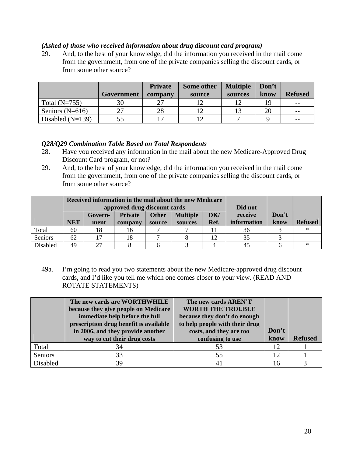### *(Asked of those who received information about drug discount card program)*

29. And, to the best of your knowledge, did the information you received in the mail come from the government, from one of the private companies selling the discount cards, or from some other source?

|                    |                   | <b>Private</b> | <b>Some other</b> | <b>Multiple</b> | Don't |                |
|--------------------|-------------------|----------------|-------------------|-----------------|-------|----------------|
|                    | <b>Government</b> | company        | source            | sources         | know  | <b>Refused</b> |
| Total $(N=755)$    | 30                |                | 12                |                 | 19    | $- -$          |
| Seniors $(N=616)$  | 27                | 28             | 12                |                 | 20    | $- -$          |
| Disabled $(N=139)$ | 55                | רי             |                   |                 |       | $- -$          |

### *Q28/Q29 Combination Table Based on Total Respondents*

- 28. Have you received any information in the mail about the new Medicare-Approved Drug Discount Card program, or not?
- 29. And, to the best of your knowledge, did the information you received in the mail come from the government, from one of the private companies selling the discount cards, or from some other source?

|          | Received information in the mail about the new Medicare<br>approved drug discount cards |                                                                                |         |        |         |      | Did not     |      |                |
|----------|-----------------------------------------------------------------------------------------|--------------------------------------------------------------------------------|---------|--------|---------|------|-------------|------|----------------|
|          |                                                                                         | <b>Multiple</b><br>receive<br>DK/<br><b>Other</b><br><b>Private</b><br>Govern- |         |        | Don't   |      |             |      |                |
|          | <b>NET</b>                                                                              | ment                                                                           | company | source | sources | Ref. | information | know | <b>Refused</b> |
| Total    | 60                                                                                      | 18                                                                             | 16      |        |         |      | 36          |      |                |
| Seniors  | 62                                                                                      |                                                                                |         |        |         |      | 35          |      |                |
| Disabled | 49                                                                                      |                                                                                |         |        |         |      |             |      |                |

49a. I'm going to read you two statements about the new Medicare-approved drug discount cards, and I'd like you tell me which one comes closer to your view. (READ AND ROTATE STATEMENTS)

|                | The new cards are WORTHWHILE<br>because they give people on Medicare<br>immediate help before the full<br>prescription drug benefit is available<br>in 2006, and they provide another<br>way to cut their drug costs | The new cards AREN'T<br><b>WORTH THE TROUBLE</b><br>because they don't do enough<br>to help people with their drug<br>costs, and they are too<br>confusing to use | Don't<br>know | <b>Refused</b> |
|----------------|----------------------------------------------------------------------------------------------------------------------------------------------------------------------------------------------------------------------|-------------------------------------------------------------------------------------------------------------------------------------------------------------------|---------------|----------------|
| Total          | 34                                                                                                                                                                                                                   | 53                                                                                                                                                                |               |                |
| <b>Seniors</b> | 33                                                                                                                                                                                                                   | 55                                                                                                                                                                | 12            |                |
| Disabled       | 39                                                                                                                                                                                                                   | 41                                                                                                                                                                |               |                |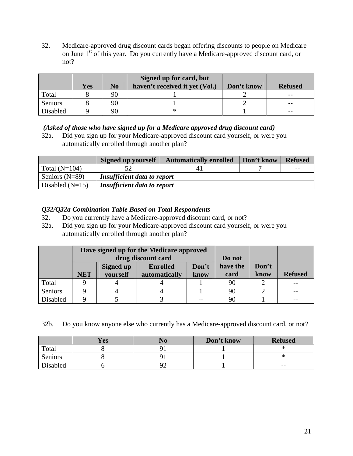32. Medicare-approved drug discount cards began offering discounts to people on Medicare on June 1<sup>st</sup> of this year. Do you currently have a Medicare-approved discount card, or not?

|                |            |                | Signed up for card, but        |            |                |
|----------------|------------|----------------|--------------------------------|------------|----------------|
|                | <b>Yes</b> | N <sub>0</sub> | haven't received it yet (Vol.) | Don't know | <b>Refused</b> |
| Total          |            | 90             |                                |            | --             |
| <b>Seniors</b> |            | 90             |                                |            | $- -$          |
| Disabled       |            | 90             |                                |            | --             |

### *(Asked of those who have signed up for a Medicare approved drug discount card)*

32a. Did you sign up for your Medicare-approved discount card yourself, or were you automatically enrolled through another plan?

|                   | <b>Signed up yourself</b>          | <b>Automatically enrolled</b> | Don't know | <b>Refused</b> |
|-------------------|------------------------------------|-------------------------------|------------|----------------|
| Total $(N=104)$   |                                    |                               |            | $- -$          |
| Seniors $(N=89)$  | <b>Insufficient data to report</b> |                               |            |                |
| Disabled $(N=15)$ | <b>Insufficient data to report</b> |                               |            |                |

# *Q32/Q32a Combination Table Based on Total Respondents*

- 32. Do you currently have a Medicare-approved discount card, or not?
- 32a. Did you sign up for your Medicare-approved discount card yourself, or were you automatically enrolled through another plan?

|          | Have signed up for the Medicare approved<br>drug discount card |           |                 |       | Do not   |       |                |
|----------|----------------------------------------------------------------|-----------|-----------------|-------|----------|-------|----------------|
|          |                                                                | Signed up | <b>Enrolled</b> | Don't | have the | Don't |                |
|          | <b>NET</b>                                                     | vourself  | automatically   | know  | card     | know  | <b>Refused</b> |
| Total    |                                                                |           |                 |       | 90       |       |                |
| Seniors  |                                                                |           |                 |       | 90       |       |                |
| Disabled |                                                                |           |                 |       | 90       |       |                |

32b. Do you know anyone else who currently has a Medicare-approved discount card, or not?

|          | <b>Yes</b> | No | Don't know | <b>Refused</b> |
|----------|------------|----|------------|----------------|
| Total    |            |    |            |                |
| Seniors  |            |    |            |                |
| Disabled |            |    |            | $- -$          |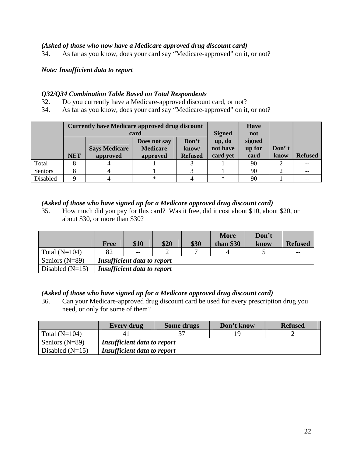# *(Asked of those who now have a Medicare approved drug discount card)*

34. As far as you know, does your card say "Medicare-approved" on it, or not?

### *Note: Insufficient data to report*

# *Q32/Q34 Combination Table Based on Total Respondents*

- 32. Do you currently have a Medicare-approved discount card, or not?
- 34. As far as you know, does your card say "Medicare-approved" on it, or not?

|          | <b>Currently have Medicare approved drug discount</b><br>card |                                  |                                             |                                  | <b>Signed</b>                  | <b>Have</b><br>not       |               |                |
|----------|---------------------------------------------------------------|----------------------------------|---------------------------------------------|----------------------------------|--------------------------------|--------------------------|---------------|----------------|
|          | <b>NET</b>                                                    | <b>Says Medicare</b><br>approved | Does not say<br><b>Medicare</b><br>approved | Don't<br>know/<br><b>Refused</b> | up, do<br>not have<br>card yet | signed<br>up for<br>card | Don't<br>know | <b>Refused</b> |
| Total    |                                                               |                                  |                                             |                                  |                                | 90                       |               |                |
| Seniors  |                                                               |                                  |                                             |                                  |                                | 90                       |               | --             |
| Disabled |                                                               |                                  | $\ast$                                      |                                  | $\ast$                         | 90                       |               |                |

### *(Asked of those who have signed up for a Medicare approved drug discount card)*

35. How much did you pay for this card? Was it free, did it cost about \$10, about \$20, or about \$30, or more than \$30?

|                   |      |                                    |      |      | <b>More</b> | Don't |                |  |  |
|-------------------|------|------------------------------------|------|------|-------------|-------|----------------|--|--|
|                   | Free | \$10                               | \$20 | \$30 | than $$30$  | know  | <b>Refused</b> |  |  |
| Total $(N=104)$   | 82   | $- -$                              |      |      |             |       | $- -$          |  |  |
| Seniors $(N=89)$  |      | Insufficient data to report        |      |      |             |       |                |  |  |
| Disabled $(N=15)$ |      | <b>Insufficient data to report</b> |      |      |             |       |                |  |  |

### *(Asked of those who have signed up for a Medicare approved drug discount card)*

36. Can your Medicare-approved drug discount card be used for every prescription drug you need, or only for some of them?

|                   | <b>Every drug</b>                  | Some drugs | Don't know | <b>Refused</b> |
|-------------------|------------------------------------|------------|------------|----------------|
| Total $(N=104)$   |                                    |            |            |                |
| Seniors $(N=89)$  | <b>Insufficient data to report</b> |            |            |                |
| Disabled $(N=15)$ | <b>Insufficient data to report</b> |            |            |                |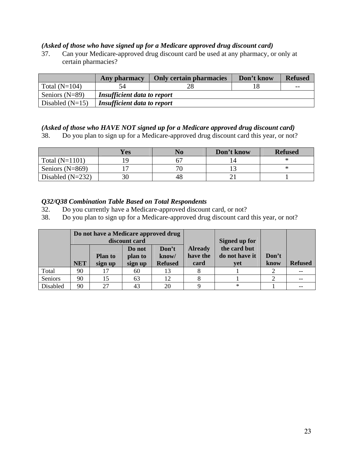# *(Asked of those who have signed up for a Medicare approved drug discount card)*

37. Can your Medicare-approved drug discount card be used at any pharmacy, or only at certain pharmacies?

|                   | Any pharmacy                       | <b>Only certain pharmacies</b> | Don't know | <b>Refused</b> |
|-------------------|------------------------------------|--------------------------------|------------|----------------|
| Total $(N=104)$   |                                    |                                |            | $- -$          |
| Seniors $(N=89)$  | Insufficient data to report        |                                |            |                |
| Disabled $(N=15)$ | <b>Insufficient data to report</b> |                                |            |                |

# *(Asked of those who HAVE NOT signed up for a Medicare approved drug discount card)*

38. Do you plan to sign up for a Medicare-approved drug discount card this year, or not?

|                    | <b>Yes</b> |    | Don't know | <b>Refused</b> |
|--------------------|------------|----|------------|----------------|
| Total $(N=1101)$   |            |    |            |                |
| Seniors $(N=869)$  |            | 70 |            |                |
| Disabled $(N=232)$ |            | 48 |            |                |

# *Q32/Q38 Combination Table Based on Total Respondents*

32. Do you currently have a Medicare-approved discount card, or not?

38. Do you plan to sign up for a Medicare-approved drug discount card this year, or not?

|          | Do not have a Medicare approved drug<br>discount card |                           |                              |                                  | Signed up for                      |                                       |               |                |
|----------|-------------------------------------------------------|---------------------------|------------------------------|----------------------------------|------------------------------------|---------------------------------------|---------------|----------------|
|          | <b>NET</b>                                            | <b>Plan to</b><br>sign up | Do not<br>plan to<br>sign up | Don't<br>know/<br><b>Refused</b> | <b>Already</b><br>have the<br>card | the card but<br>do not have it<br>vet | Don't<br>know | <b>Refused</b> |
| Total    | 90                                                    | 17                        | 60                           | 13                               |                                    |                                       |               |                |
| Seniors  | 90                                                    | 15                        | 63                           | 12                               |                                    |                                       |               |                |
| Disabled | 90                                                    | 27                        | 43                           | 20                               |                                    | $\ast$                                |               |                |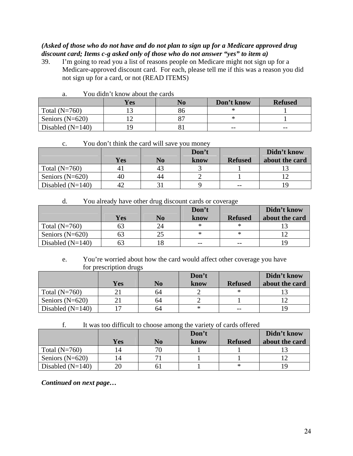# *(Asked of those who do not have and do not plan to sign up for a Medicare approved drug discount card; Items c-g asked only of those who do not answer "yes" to item a)*

39. I'm going to read you a list of reasons people on Medicare might not sign up for a Medicare-approved discount card. For each, please tell me if this was a reason you did not sign up for a card, or not (READ ITEMS)

|                    | <b>Yes</b> | No | Don't know | <b>Refused</b> |
|--------------------|------------|----|------------|----------------|
| Total $(N=760)$    |            | 86 |            |                |
| Seniors $(N=620)$  |            |    |            |                |
| Disabled $(N=140)$ |            |    | $- -$      | $- -$          |

a. You didn't know about the cards

c. You don't think the card will save you money

|                    |     |     | Don't |                | Didn't know    |
|--------------------|-----|-----|-------|----------------|----------------|
|                    | Yes | No  | know  | <b>Refused</b> | about the card |
| Total $(N=760)$    | 41  | 4.1 |       |                |                |
| Seniors $(N=620)$  | 40  | 44  |       |                |                |
| Disabled $(N=140)$ | 42  |     |       |                |                |

d. You already have other drug discount cards or coverage

|                    |     |    | Don't |                | Didn't know    |
|--------------------|-----|----|-------|----------------|----------------|
|                    | Yes | No | know  | <b>Refused</b> | about the card |
| Total $(N=760)$    | 63  | 24 | ∗     | ∗              |                |
| Seniors $(N=620)$  | 63  | 25 | ∗     | $\ast$         |                |
| Disabled $(N=140)$ |     |    | $- -$ | --             |                |

e. You're worried about how the card would affect other coverage you have for prescription drugs

|                    |     |                | Don't |                | Didn't know    |
|--------------------|-----|----------------|-------|----------------|----------------|
|                    | Yes | N <sub>0</sub> | know  | <b>Refused</b> | about the card |
| Total $(N=760)$    |     | 64             |       |                |                |
| Seniors $(N=620)$  |     | 64             |       |                |                |
| Disabled $(N=140)$ | −   | 64             | *     | $- -$          | ١y             |

|  | It was too difficult to choose among the variety of cards offered |  |
|--|-------------------------------------------------------------------|--|
|--|-------------------------------------------------------------------|--|

|                    |     |    | Don't |                | Didn't know    |
|--------------------|-----|----|-------|----------------|----------------|
|                    | Yes | No | know  | <b>Refused</b> | about the card |
| Total $(N=760)$    |     |    |       |                |                |
| Seniors $(N=620)$  |     |    |       |                |                |
| Disabled $(N=140)$ | 20  |    |       | ∗              | 1 Q            |

*Continued on next page…*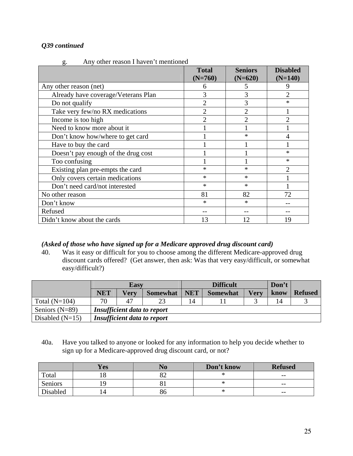# *Q39 continued*

| s٠<br><i>They</i> other reason I haven a membered |                |                |                 |
|---------------------------------------------------|----------------|----------------|-----------------|
|                                                   | <b>Total</b>   | <b>Seniors</b> | <b>Disabled</b> |
|                                                   | $(N=760)$      | $(N=620)$      | $(N=140)$       |
| Any other reason (net)                            | 6              | 5              | 9               |
| Already have coverage/Veterans Plan               | 3              | 3              | 2               |
| Do not qualify                                    | $\overline{2}$ | 3              | $\ast$          |
| Take very few/no RX medications                   | $\overline{2}$ | $\mathfrak{D}$ |                 |
| Income is too high                                | $\overline{2}$ | $\overline{2}$ | $\mathfrak{D}$  |
| Need to know more about it                        |                |                |                 |
| Don't know how/where to get card                  |                | $\ast$         | 4               |
| Have to buy the card                              |                |                |                 |
| Doesn't pay enough of the drug cost               |                |                | $\ast$          |
| Too confusing                                     |                |                | $\ast$          |
| Existing plan pre-empts the card                  | $\ast$         | $\ast$         |                 |
| Only covers certain medications                   | $\ast$         | $\ast$         |                 |
| Don't need card/not interested                    | $\ast$         | $\ast$         |                 |
| No other reason                                   | 81             | 82             | 72              |
| Don't know                                        | $\ast$         | $\ast$         |                 |
| Refused                                           |                |                |                 |
| Didn't know about the cards                       | 13             | 12             | Q               |

## g. Any other reason I haven't mentioned

### *(Asked of those who have signed up for a Medicare approved drug discount card)*

40. Was it easy or difficult for you to choose among the different Medicare-approved drug discount cards offered? (Get answer, then ask: Was that very easy/difficult, or somewhat easy/difficult?)

|                   |            | <b>Easy</b> |                             | <b>Difficult</b> |                 |      | Don't |                |
|-------------------|------------|-------------|-----------------------------|------------------|-----------------|------|-------|----------------|
|                   | <b>NET</b> | <b>Verv</b> | <b>Somewhat</b>             | <b>NET</b>       | <b>Somewhat</b> | Verv | know  | <b>Refused</b> |
| Total $(N=104)$   | 70         |             |                             | 14               |                 |      | 14    |                |
| Seniors $(N=89)$  |            |             | Insufficient data to report |                  |                 |      |       |                |
| Disabled $(N=15)$ |            |             | Insufficient data to report |                  |                 |      |       |                |

40a. Have you talked to anyone or looked for any information to help you decide whether to sign up for a Medicare-approved drug discount card, or not?

|          | Yes | NU | Don't know | <b>Refused</b> |
|----------|-----|----|------------|----------------|
| Total    | O   | ◡∠ | $\sim$     | $- -$          |
| Seniors  |     |    | 灬          | $- -$          |
| Disabled |     | ðΟ | ж          | $- -$          |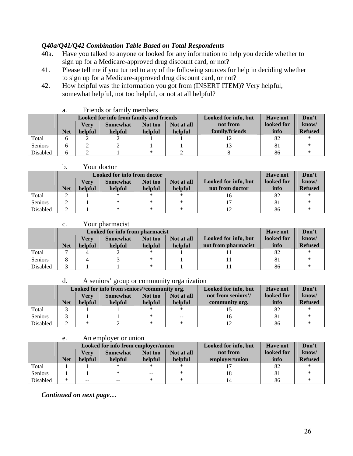## *Q40a/Q41/Q42 Combination Table Based on Total Respondents*

- 40a. Have you talked to anyone or looked for any information to help you decide whether to sign up for a Medicare-approved drug discount card, or not?
- 41. Please tell me if you turned to any of the following sources for help in deciding whether to sign up for a Medicare-approved drug discount card, or not?
- 42. How helpful was the information you got from (INSERT ITEM)? Very helpful, somewhat helpful, not too helpful, or not at all helpful?

|                                         | а.                                               |         | т пеназ от таннгу пенноств |         |          |                      |                 |                |
|-----------------------------------------|--------------------------------------------------|---------|----------------------------|---------|----------|----------------------|-----------------|----------------|
| Looked for info from family and friends |                                                  |         |                            |         |          | Looked for info, but | <b>Have not</b> | Don't          |
|                                         | Not at all<br>Verv<br>Not too<br><b>Somewhat</b> |         |                            |         | not from | looked for           | know/           |                |
|                                         | <b>Net</b>                                       | helpful | helpful                    | helpful | helpful  | family/friends       | info            | <b>Refused</b> |
| Total                                   |                                                  |         |                            |         |          |                      | 82              |                |
| Seniors                                 |                                                  |         |                            |         |          |                      | 81              |                |
| Disabled                                | 6                                                |         |                            | $\ast$  |          |                      | 86              |                |

#### a. Friends or family members

#### b. Your doctor

|                |            |                 | <b>Looked for info from doctor</b> |                    |                       | <b>Have not</b>                         | Don't              |                         |
|----------------|------------|-----------------|------------------------------------|--------------------|-----------------------|-----------------------------------------|--------------------|-------------------------|
|                | <b>Net</b> | Verv<br>helpful | <b>Somewhat</b><br>helpful         | Not too<br>helpful | Not at all<br>helpful | Looked for info, but<br>not from doctor | looked for<br>info | know/<br><b>Refused</b> |
| Total          |            |                 | ∗                                  |                    | ∗                     |                                         | 82                 |                         |
| <b>Seniors</b> |            |                 | ∗                                  | $^{\ast}$          | ∗                     |                                         |                    |                         |
| Disabled       | ◠          |                 | ∗                                  |                    | ∗                     |                                         | 86                 |                         |

#### c. Your pharmacist

|                |                                                  |         | Looked for info from pharmacist |                      |            | <b>Have not</b>     | Don't |                |
|----------------|--------------------------------------------------|---------|---------------------------------|----------------------|------------|---------------------|-------|----------------|
|                | Not at all<br>Not too<br>Verv<br><b>Somewhat</b> |         |                                 | Looked for info, but | looked for | know/               |       |                |
|                | <b>Net</b>                                       | helpful | helpful                         | helpful              | helpful    | not from pharmacist | info  | <b>Refused</b> |
| Total          |                                                  |         |                                 |                      |            |                     |       |                |
| <b>Seniors</b> |                                                  |         |                                 |                      |            |                     |       |                |
| Disabled       |                                                  |         |                                 |                      |            |                     | 86    |                |

#### d. A seniors' group or community organization

|                |            |         | Looked for info from seniors'/community org. |         | Looked for info, but     | <b>Have not</b>    | Don't      |                |
|----------------|------------|---------|----------------------------------------------|---------|--------------------------|--------------------|------------|----------------|
|                |            | Verv    | <b>Somewhat</b>                              | Not too | Not at all               | not from seniors'/ | looked for | know/          |
|                | <b>Net</b> | helpful | helpful                                      | helpful | helpful                  | community org.     | info       | <b>Refused</b> |
| Total          |            |         |                                              |         | ∗                        |                    |            |                |
| <b>Seniors</b> |            |         |                                              |         | $\overline{\phantom{m}}$ |                    |            |                |
| Disabled       |            | $\ast$  |                                              |         | ∗                        |                    | 86         |                |

#### e. An employer or union

|          |                                                  |         | Looked for info from employer/union |            | Looked for info, but | <b>Have not</b> | Don't |                |
|----------|--------------------------------------------------|---------|-------------------------------------|------------|----------------------|-----------------|-------|----------------|
|          | Not at all<br>Verv<br><b>Somewhat</b><br>Not too |         | not from                            | looked for | know/                |                 |       |                |
|          | <b>Net</b>                                       | helpful | helpful                             | helpful    | helpful              | employer/union  | info  | <b>Refused</b> |
| Total    |                                                  |         | ∗                                   |            | ∗                    |                 |       |                |
| Seniors  |                                                  |         | ∗                                   | $- -$      | ∗                    | 18              | ŌΙ    |                |
| Disabled | $\ast$                                           | $- -$   | $- -$                               |            | ∗                    |                 | 86    |                |

### *Continued on next page…*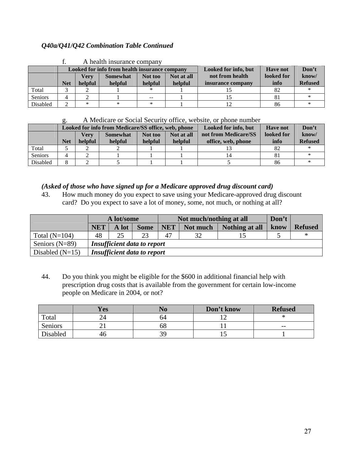## *Q40a/Q41/Q42 Combination Table Continued*

|                                               | ı.         |         | А псани тізигансе соніран у |               |            |                      |                 |                |
|-----------------------------------------------|------------|---------|-----------------------------|---------------|------------|----------------------|-----------------|----------------|
| Looked for info from health insurance company |            |         |                             |               |            | Looked for info, but | <b>Have not</b> | Don't          |
|                                               |            | Verv    | <b>Somewhat</b>             | Not too       | Not at all | not from health      | looked for      | know/          |
|                                               | <b>Net</b> | helpful | helpful                     | helpful       | helpful    | insurance company    | info            | <b>Refused</b> |
| Total                                         |            |         |                             |               |            |                      |                 |                |
| Seniors                                       |            |         |                             | $\sim$ $\sim$ |            |                      |                 |                |
| Disabled                                      |            |         | ∗                           |               |            |                      | 86              |                |

### f. A health insurance company

#### g. A Medicare or Social Security office, website, or phone number

|          |            |             | Looked for info from Medicare/SS office, web, phone |         | Looked for info, but | <b>Have not</b>      | Don't      |                |
|----------|------------|-------------|-----------------------------------------------------|---------|----------------------|----------------------|------------|----------------|
|          |            | <b>Verv</b> | <b>Somewhat</b>                                     | Not too | Not at all           | not from Medicare/SS | looked for | know/          |
|          | <b>Net</b> | helpful     | helpful                                             | helpful | helpful              | office, web, phone   | info       | <b>Refused</b> |
| Total    |            |             |                                                     |         |                      |                      |            |                |
| Seniors  |            |             |                                                     |         |                      |                      |            |                |
| Disabled |            |             |                                                     |         |                      |                      | 86         |                |

### *(Asked of those who have signed up for a Medicare approved drug discount card)*

43. How much money do you expect to save using your Medicare-approved drug discount card? Do you expect to save a lot of money, some, not much, or nothing at all?

|                   | A lot/some |                                    |                                    |            | Not much/nothing at all | Don't          |      |                |
|-------------------|------------|------------------------------------|------------------------------------|------------|-------------------------|----------------|------|----------------|
|                   | <b>NET</b> | A lot                              | <b>Some</b>                        | <b>NET</b> | Not much                | Nothing at all | know | <b>Refused</b> |
| Total $(N=104)$   | 48         | 25                                 | 23                                 | 47         | 32                      | 15             |      | $\ast$         |
| Seniors $(N=89)$  |            | <b>Insufficient data to report</b> |                                    |            |                         |                |      |                |
| Disabled $(N=15)$ |            |                                    | <b>Insufficient data to report</b> |            |                         |                |      |                |

44. Do you think you might be eligible for the \$600 in additional financial help with prescription drug costs that is available from the government for certain low-income people on Medicare in 2004, or not?

|                 | <b>Yes</b> | No | Don't know | <b>Refused</b> |
|-----------------|------------|----|------------|----------------|
| Total           |            | 74 |            |                |
| Seniors         | _ .        | υo |            | $- -$          |
| <b>Disabled</b> | 40         |    |            |                |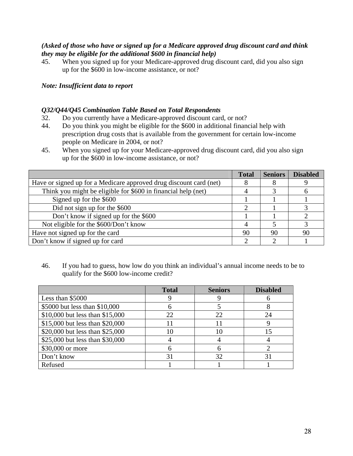## *(Asked of those who have or signed up for a Medicare approved drug discount card and think they may be eligible for the additional \$600 in financial help)*

45. When you signed up for your Medicare-approved drug discount card, did you also sign up for the \$600 in low-income assistance, or not?

### *Note: Insufficient data to report*

### *Q32/Q44/Q45 Combination Table Based on Total Respondents*

- 32. Do you currently have a Medicare-approved discount card, or not?
- 44. Do you think you might be eligible for the \$600 in additional financial help with prescription drug costs that is available from the government for certain low-income people on Medicare in 2004, or not?
- 45. When you signed up for your Medicare-approved drug discount card, did you also sign up for the \$600 in low-income assistance, or not?

|                                                                    | <b>Total</b> | <b>Seniors</b> | <b>Disabled</b> |
|--------------------------------------------------------------------|--------------|----------------|-----------------|
| Have or signed up for a Medicare approved drug discount card (net) |              |                |                 |
| Think you might be eligible for \$600 in financial help (net)      |              |                |                 |
| Signed up for the \$600                                            |              |                |                 |
| Did not sign up for the $$600$                                     |              |                |                 |
| Don't know if signed up for the \$600                              |              |                |                 |
| Not eligible for the \$600/Don't know                              |              |                |                 |
| Have not signed up for the card                                    | 90           | 90             | 90              |
| Don't know if signed up for card                                   |              |                |                 |

46. If you had to guess, how low do you think an individual's annual income needs to be to qualify for the \$600 low-income credit?

|                                 | <b>Total</b> | <b>Seniors</b> | <b>Disabled</b> |
|---------------------------------|--------------|----------------|-----------------|
| Less than \$5000                |              |                |                 |
| \$5000 but less than \$10,000   | h            |                |                 |
| \$10,000 but less than \$15,000 | 22           | 22             | 24              |
| \$15,000 but less than \$20,000 |              |                |                 |
| \$20,000 but less than \$25,000 | 10           |                | 15              |
| \$25,000 but less than \$30,000 |              |                |                 |
| \$30,000 or more                |              |                |                 |
| Don't know                      | 31           | 32             |                 |
| Refused                         |              |                |                 |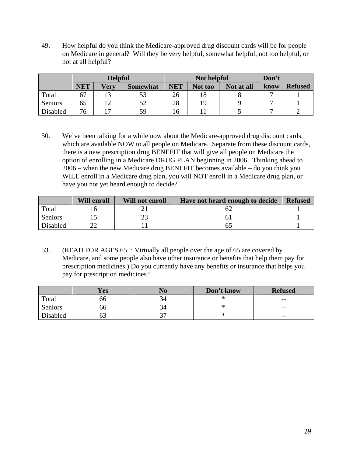49. How helpful do you think the Medicare-approved drug discount cards will be for people on Medicare in general? Will they be very helpful, somewhat helpful, not too helpful, or not at all helpful?

|                | <b>Helpful</b> |             | Not helpful     |            |           | Don't      |      |                |
|----------------|----------------|-------------|-----------------|------------|-----------|------------|------|----------------|
|                | <b>NET</b>     | <b>Very</b> | <b>Somewhat</b> | <b>NET</b> | Not too   | Not at all | know | <b>Refused</b> |
| Total          | 67             |             | 53              | 26         | 1 O<br>10 |            |      |                |
| <b>Seniors</b> | 65             |             | 52              | 28         | 19        |            |      |                |
| Disabled       | 76             |             | 59              | 16         |           |            |      |                |

50. We've been talking for a while now about the Medicare-approved drug discount cards, which are available NOW to all people on Medicare. Separate from these discount cards, there is a new prescription drug BENEFIT that will give all people on Medicare the option of enrolling in a Medicare DRUG PLAN beginning in 2006. Thinking ahead to 2006 – when the new Medicare drug BENEFIT becomes available – do you think you WILL enroll in a Medicare drug plan, you will NOT enroll in a Medicare drug plan, or have you not yet heard enough to decide?

|          | <b>Will enroll</b> | <b>Will not enroll</b> | Have not heard enough to decide | <b>Refused</b> |
|----------|--------------------|------------------------|---------------------------------|----------------|
| Total    |                    |                        |                                 |                |
| Seniors  |                    |                        |                                 |                |
| Disabled |                    |                        |                                 |                |

53. (READ FOR AGES 65+: Virtually all people over the age of 65 are covered by Medicare, and some people also have other insurance or benefits that help them pay for prescription medicines.) Do you currently have any benefits or insurance that helps you pay for prescription medicines?

|                 | Yes | AO <sup>T</sup> | Don't know | <b>Refused</b> |
|-----------------|-----|-----------------|------------|----------------|
| Total           | oo  |                 | ∗          | $- -$          |
| Seniors         | oo  | 94              | ∗          | $- -$          |
| <b>Disabled</b> | υJ  | ∼<br>້          | ∗          | $- -$          |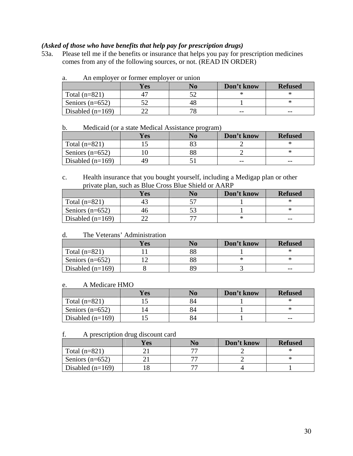### *(Asked of those who have benefits that help pay for prescription drugs)*

53a. Please tell me if the benefits or insurance that helps you pay for prescription medicines comes from any of the following sources, or not. (READ IN ORDER)

|                    | Yes | No | Don't know | <b>Refused</b> |
|--------------------|-----|----|------------|----------------|
| Total $(n=821)$    |     |    |            |                |
| Seniors $(n=652)$  |     |    |            |                |
| Disabled $(n=169)$ |     |    | $- -$      | $- -$          |

# a. An employer or former employer or union

#### b. Medicaid (or a state Medical Assistance program)

|                    | Yes | Don't know | <b>Refused</b> |
|--------------------|-----|------------|----------------|
| Total $(n=821)$    |     |            |                |
| Seniors $(n=652)$  |     |            |                |
| Disabled $(n=169)$ |     | $- -$      | $- -$          |

### c. Health insurance that you bought yourself, including a Medigap plan or other private plan, such as Blue Cross Blue Shield or AARP

|                    | Yes |  | Don't know | <b>Refused</b> |  |  |  |
|--------------------|-----|--|------------|----------------|--|--|--|
| Total $(n=821)$    |     |  |            |                |  |  |  |
| Seniors $(n=652)$  |     |  |            |                |  |  |  |
| Disabled $(n=169)$ |     |  |            | $- -$          |  |  |  |

### d. The Veterans' Administration

|                    | Yes | Don't know | <b>Refused</b> |
|--------------------|-----|------------|----------------|
| Total $(n=821)$    |     |            |                |
| Seniors $(n=652)$  |     |            |                |
| Disabled $(n=169)$ |     |            | $- -$          |

#### e. A Medicare HMO

|                    | Yes | ${\bf N}{\bf o}$ | Don't know | <b>Refused</b> |
|--------------------|-----|------------------|------------|----------------|
| Total $(n=821)$    |     |                  |            |                |
| Seniors $(n=652)$  |     |                  |            |                |
| Disabled $(n=169)$ |     | 84               |            | $- -$          |

### f. A prescription drug discount card

|                    | Yes | Don't know | <b>Refused</b> |
|--------------------|-----|------------|----------------|
| Total $(n=821)$    |     |            |                |
| Seniors $(n=652)$  |     |            |                |
| Disabled $(n=169)$ |     |            |                |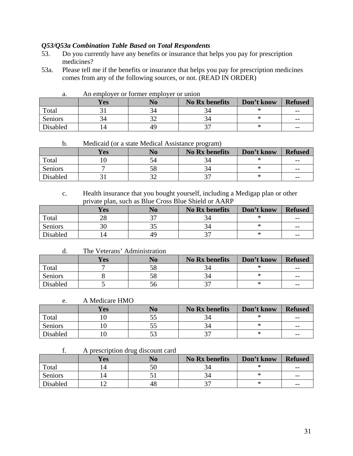### *Q53/Q53a Combination Table Based on Total Respondents*

- 53. Do you currently have any benefits or insurance that helps you pay for prescription medicines?
- 53a. Please tell me if the benefits or insurance that helps you pay for prescription medicines comes from any of the following sources, or not. (READ IN ORDER)

|          | Yes | No  | <b>No Rx benefits</b> | Don't know | <b>Refused</b> |
|----------|-----|-----|-----------------------|------------|----------------|
| Total    |     |     |                       |            | $- -$          |
| Seniors  |     | ے ب |                       | ж          | $- -$          |
| Disabled |     | 49  |                       | ∗          | $- -$          |

a. An employer or former employer or union

| Medicald (or a state Medical Assistance program)<br>υ. |     |    |                       |            |                |  |  |  |  |
|--------------------------------------------------------|-----|----|-----------------------|------------|----------------|--|--|--|--|
|                                                        | Yes | N0 | <b>No Rx benefits</b> | Don't know | <b>Refused</b> |  |  |  |  |
| Total                                                  |     |    |                       |            | $- -$          |  |  |  |  |
| Seniors                                                |     |    |                       |            | --             |  |  |  |  |
| <b>Disabled</b>                                        |     |    |                       | ×          | $- -$          |  |  |  |  |

b. Medicaid (or a state Medical Assistance program)

c. Health insurance that you bought yourself, including a Medigap plan or other private plan, such as Blue Cross Blue Shield or AARP

|                 | Yes | $\bf No$ | No Rx benefits | Don't know | <b>Refused</b> |
|-----------------|-----|----------|----------------|------------|----------------|
| Total           | 40  | ັ        |                |            | $- -$          |
| Seniors         |     | ی ب      |                |            | $- -$          |
| <b>Disabled</b> |     | 49       |                |            | $- -$          |

### d. The Veterans' Administration

|          | <b>Yes</b> | N0  | No Rx benefits           | Don't know | <b>Refused</b> |
|----------|------------|-----|--------------------------|------------|----------------|
| Total    |            |     |                          |            | $- -$          |
| Seniors  |            | IJΟ |                          |            | $- -$          |
| Disabled |            | ЭO  | $\overline{\phantom{a}}$ | ж          | $- -$          |

### e. A Medicare HMO

|          | <b>Yes</b> | NO   | No Rx benefits | Don't know | <b>Refused</b> |
|----------|------------|------|----------------|------------|----------------|
| Total    |            | ັບ   |                |            | $- -$          |
| Seniors  |            | ر. ر |                |            | $- -$          |
| Disabled |            | ັບ   |                | ж          | $- -$          |

f. A prescription drug discount card

|          | <b>Yes</b> | No | <b>No Rx benefits</b> | Don't know | <b>Refused</b> |
|----------|------------|----|-----------------------|------------|----------------|
| Total    |            |    |                       |            | $- -$          |
| Seniors  |            |    |                       |            | $- -$          |
| Disabled |            | 48 | ັ                     |            | $- -$          |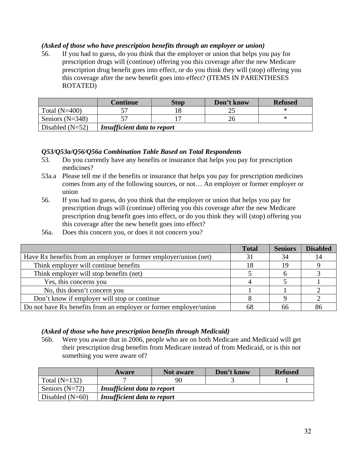### *(Asked of those who have prescription benefits through an employer or union)*

56. If you had to guess, do you think that the employer or union that helps you pay for prescription drugs will (continue) offering you this coverage after the new Medicare prescription drug benefit goes into effect, or do you think they will (stop) offering you this coverage after the new benefit goes into effect? (ITEMS IN PARENTHESES ROTATED)

|                   | Continue | <b>Stop</b>                        | Don't know | <b>Refused</b> |  |  |  |
|-------------------|----------|------------------------------------|------------|----------------|--|--|--|
| Total $(N=400)$   |          |                                    | ت          |                |  |  |  |
| Seniors $(N=348)$ |          |                                    | 26         |                |  |  |  |
| Disabled $(N=52)$ |          | <b>Insufficient data to report</b> |            |                |  |  |  |

### *Q53/Q53a/Q56/Q56a Combination Table Based on Total Respondents*

- 53. Do you currently have any benefits or insurance that helps you pay for prescription medicines?
- 53a.a Please tell me if the benefits or insurance that helps you pay for prescription medicines comes from any of the following sources, or not… An employer or former employer or union
- 56. If you had to guess, do you think that the employer or union that helps you pay for prescription drugs will (continue) offering you this coverage after the new Medicare prescription drug benefit goes into effect, or do you think they will (stop) offering you this coverage after the new benefit goes into effect?
- 56a. Does this concern you, or does it not concern you?

|                                                                   | <b>Total</b> | <b>Seniors</b> | <b>Disabled</b> |
|-------------------------------------------------------------------|--------------|----------------|-----------------|
| Have Rx benefits from an employer or former employer/union (net)  |              | 34             | 14              |
| Think employer will continue benefits                             | 18           | 19             |                 |
| Think employer will stop benefits (net)                           |              |                |                 |
| Yes, this concerns you                                            |              |                |                 |
| No, this doesn't concern you                                      |              |                |                 |
| Don't know if employer will stop or continue                      |              |                |                 |
| Do not have Rx benefits from an employer or former employer/union | 68           | 66             | 86              |

### *(Asked of those who have prescription benefits through Medicaid)*

56b. Were you aware that in 2006, people who are on both Medicare and Medicaid will get their prescription drug benefits from Medicare instead of from Medicaid, or is this not something you were aware of?

|                   | <b>Aware</b>                | Not aware                   | Don't know | <b>Refused</b> |  |  |  |  |
|-------------------|-----------------------------|-----------------------------|------------|----------------|--|--|--|--|
| Total $(N=132)$   |                             |                             |            |                |  |  |  |  |
| Seniors $(N=72)$  |                             | Insufficient data to report |            |                |  |  |  |  |
| Disabled $(N=60)$ | Insufficient data to report |                             |            |                |  |  |  |  |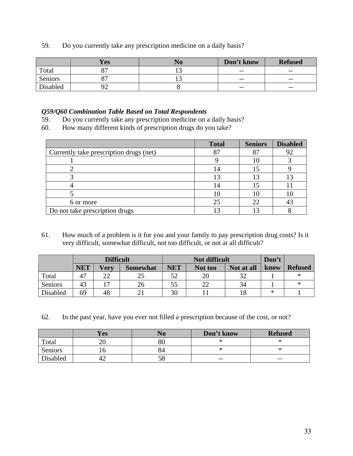59. Do you currently take any prescription medicine on a daily basis?

|          | Yes       | $\bf No$ | Don't know | <b>Refused</b>           |
|----------|-----------|----------|------------|--------------------------|
| Total    | nп        |          | $- -$      | $\overline{\phantom{m}}$ |
| Seniors  | n.        | ⊥ J      | $- -$      | $\overline{\phantom{m}}$ |
| Disabled | റ^<br>ے ، |          | $- -$      | $- -$                    |

# *Q59/Q60 Combination Table Based on Total Respondents*

- 59. Do you currently take any prescription medicine on a daily basis?
- 60. How many different kinds of prescription drugs do you take?

|                                         | <b>Total</b> | <b>Seniors</b> | <b>Disabled</b> |
|-----------------------------------------|--------------|----------------|-----------------|
| Currently take prescription drugs (net) |              | 87             | 92              |
|                                         |              | IU.            |                 |
|                                         | $\sqrt{2}$   |                |                 |
|                                         |              | 13             |                 |
|                                         | $\sqrt{2}$   |                |                 |
|                                         |              | Ю              | I C             |
| 6 or more                               | 25           | 22             |                 |
| Do not take prescription drugs          |              |                |                 |

61. How much of a problem is it for you and your family to pay prescription drug costs? Is it very difficult, somewhat difficult, not too difficult, or not at all difficult?

|          | <b>Difficult</b> |             |                 | <b>Not difficult</b> |         |            | Don't |                |
|----------|------------------|-------------|-----------------|----------------------|---------|------------|-------|----------------|
|          | <b>NET</b>       | <b>Verv</b> | <b>Somewhat</b> | <b>NET</b>           | Not too | Not at all | know  | <b>Refused</b> |
| Total    | 47               |             |                 | 52                   | 20      |            |       |                |
| Seniors  | 43               |             | 26              | 55                   | ററ      | 34         |       |                |
| Disabled | 69               | 48          |                 | 30                   |         |            | ∗     |                |

62. In the past year, have you ever not filled a prescription because of the cost, or not?

|          | <b>Yes</b> | $\bf N_0$ | Don't know | <b>Refused</b> |
|----------|------------|-----------|------------|----------------|
| Total    |            | ðυ        |            |                |
| Seniors  |            | 54        | ж          | ÷<br>œ         |
| Disabled | ₩          | სბ        | $- -$      | $- -$          |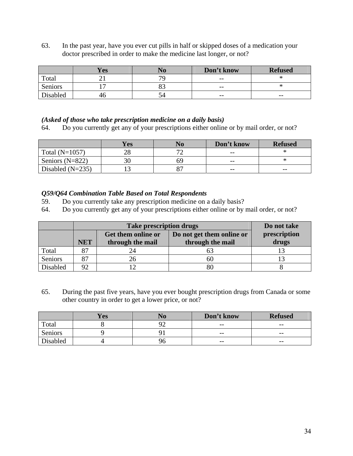63. In the past year, have you ever cut pills in half or skipped doses of a medication your doctor prescribed in order to make the medicine last longer, or not?

|                 | <b>Yes</b> | NO             | Don't know | <b>Refused</b> |
|-----------------|------------|----------------|------------|----------------|
| Total           |            | $\overline{u}$ | $- -$      | ж              |
| Seniors         |            | ر ر            | $- -$      | ж              |
| <b>Disabled</b> | 40         | J4             | $- -$      | $- -$          |

# *(Asked of those who take prescription medicine on a daily basis)*

64. Do you currently get any of your prescriptions either online or by mail order, or not?

|                    | Yes | No | Don't know | <b>Refused</b> |
|--------------------|-----|----|------------|----------------|
| Total $(N=1057)$   | 28  | 70 | $- -$      |                |
| Seniors $(N=822)$  |     | 69 | $- -$      |                |
| Disabled $(N=235)$ | IJ  | oπ | $- -$      | $- -$          |

### *Q59/Q64 Combination Table Based on Total Respondents*

- 59. Do you currently take any prescription medicine on a daily basis?
- 64. Do you currently get any of your prescriptions either online or by mail order, or not?

|          |            | <b>Take prescription drugs</b>                  | Do not take      |              |
|----------|------------|-------------------------------------------------|------------------|--------------|
|          |            | Do not get them online or<br>Get them online or |                  | prescription |
|          | <b>NET</b> | through the mail                                | through the mail | drugs        |
| Total    |            |                                                 |                  |              |
| Seniors  |            | 26                                              |                  |              |
| Disabled | 92         |                                                 |                  |              |

65. During the past five years, have you ever bought prescription drugs from Canada or some other country in order to get a lower price, or not?

|          | <b>Yes</b> | Don't know | <b>Refused</b> |
|----------|------------|------------|----------------|
| Total    |            | $- -$      | $- -$          |
| Seniors  |            | $- -$      | $- -$          |
| Disabled |            | $- -$      | $- -$          |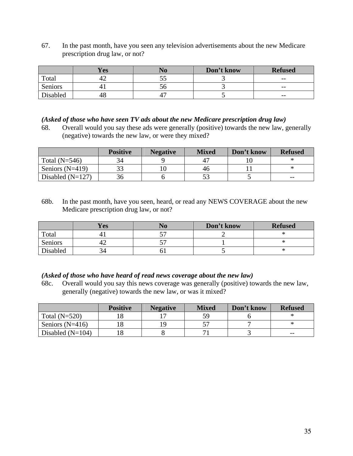67. In the past month, have you seen any television advertisements about the new Medicare prescription drug law, or not?

|          | <b>Yes</b> | No | Don't know | <b>Refused</b> |
|----------|------------|----|------------|----------------|
| Total    | 44         | ັັ |            | $- -$          |
| Seniors  |            |    |            | $- -$          |
| Disabled | 48         | 4  |            | $- -$          |

### *(Asked of those who have seen TV ads about the new Medicare prescription drug law)*

68. Overall would you say these ads were generally (positive) towards the new law, generally (negative) towards the new law, or were they mixed?

|                    | <b>Positive</b> | <b>Negative</b> | <b>Mixed</b> | Don't know | <b>Refused</b> |
|--------------------|-----------------|-----------------|--------------|------------|----------------|
| Total $(N=546)$    | 34              |                 |              |            |                |
| Seniors $(N=419)$  | 33              |                 | 46           |            |                |
| Disabled $(N=127)$ | 36              |                 |              |            | $- -$          |

68b. In the past month, have you seen, heard, or read any NEWS COVERAGE about the new Medicare prescription drug law, or not?

|          | <b>Yes</b> | NO  | Don't know | <b>Refused</b> |
|----------|------------|-----|------------|----------------|
| Total    |            | . . |            |                |
| Seniors  | 42         |     |            |                |
| Disabled |            |     |            |                |

### *(Asked of those who have heard of read news coverage about the new law)*

68c. Overall would you say this news coverage was generally (positive) towards the new law, generally (negative) towards the new law, or was it mixed?

|                    | <b>Positive</b> | <b>Negative</b> | <b>Mixed</b> | Don't know | <b>Refused</b> |
|--------------------|-----------------|-----------------|--------------|------------|----------------|
| Total $(N=520)$    |                 |                 |              |            |                |
| Seniors $(N=416)$  |                 |                 |              |            |                |
| Disabled $(N=104)$ |                 |                 |              |            | $- -$          |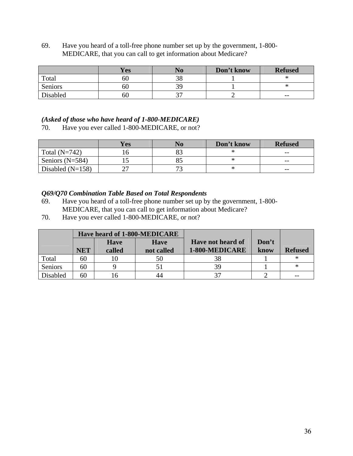69. Have you heard of a toll-free phone number set up by the government, 1-800- MEDICARE, that you can call to get information about Medicare?

|          | <b>Yes</b> | $\bf N0$                      | Don't know | <b>Refused</b> |
|----------|------------|-------------------------------|------------|----------------|
| Total    | OU         | 38                            |            |                |
| Seniors  | OU         | ٦q                            |            |                |
| Disabled | OU         | $\overline{\phantom{a}}$<br>ັ |            | $- -$          |

### *(Asked of those who have heard of 1-800-MEDICARE)*

70. Have you ever called 1-800-MEDICARE, or not?

|                    | <b>Yes</b> | No | Don't know | <b>Refused</b> |
|--------------------|------------|----|------------|----------------|
| Total $(N=742)$    |            | 83 |            | $- -$          |
| Seniors $(N=584)$  |            | OJ |            | $- -$          |
| Disabled $(N=158)$ | ↩          | ت  |            | $- -$          |

# *Q69/Q70 Combination Table Based on Total Respondents*

- 69. Have you heard of a toll-free phone number set up by the government, 1-800- MEDICARE, that you can call to get information about Medicare?
- 70. Have you ever called 1-800-MEDICARE, or not?

|                | <b>Have heard of 1-800-MEDICARE</b> |             |             |                   |       |                |
|----------------|-------------------------------------|-------------|-------------|-------------------|-------|----------------|
|                |                                     | <b>Have</b> | <b>Have</b> | Have not heard of | Don't |                |
|                | <b>NET</b>                          | called      | not called  | 1-800-MEDICARE    | know  | <b>Refused</b> |
| Total          | 60                                  |             | 50          | 38                |       | ∗              |
| <b>Seniors</b> | 60                                  |             |             | 39                |       | ∗              |
| Disabled       | 60                                  |             | 44          | 37                |       |                |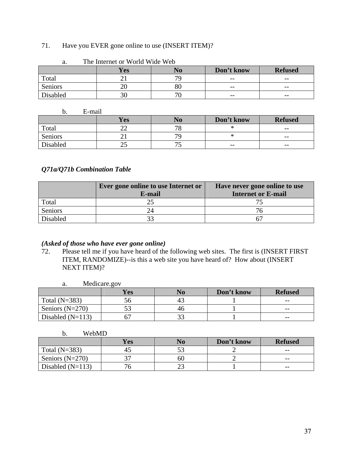# 71. Have you EVER gone online to use (INSERT ITEM)?

| .<br>The internet of world where we |     |          |            |                |  |  |
|-------------------------------------|-----|----------|------------|----------------|--|--|
|                                     | Yes | $\bf No$ | Don't know | <b>Refused</b> |  |  |
| Total                               |     | 79       | $- -$      | $- -$          |  |  |
| Seniors                             | ້   | οU       | $- -$      | $- -$          |  |  |
| Disabled                            | IJυ | πr<br>U  | $- -$      | $- -$          |  |  |

## a. The Internet or World Wide Web

b. E-mail

|          | <b>Yes</b> | NO                            | Don't know | <b>Refused</b> |
|----------|------------|-------------------------------|------------|----------------|
| Total    | --         | $\overline{\phantom{a}}$<br>O | A.         | $- -$          |
| Seniors  | <u>_</u>   | 79                            | A.<br>œ    | $- -$          |
| Disabled | رے         | ◡                             | $- -$      | $- -$          |

# *Q71a/Q71b Combination Table*

|          | Ever gone online to use Internet or<br>E-mail | Have never gone online to use<br><b>Internet or E-mail</b> |
|----------|-----------------------------------------------|------------------------------------------------------------|
| Total    |                                               |                                                            |
| Seniors  |                                               |                                                            |
| Disabled | 33                                            |                                                            |

### *(Asked of those who have ever gone online)*

72. Please tell me if you have heard of the following web sites. The first is (INSERT FIRST ITEM, RANDOMIZE)--is this a web site you have heard of? How about (INSERT NEXT ITEM)?

| Medicare.gov<br>a. |     |    |            |                |  |  |  |  |
|--------------------|-----|----|------------|----------------|--|--|--|--|
|                    | Yes | No | Don't know | <b>Refused</b> |  |  |  |  |
| Total $(N=383)$    | ჂႩ  |    |            | $- -$          |  |  |  |  |
| Seniors $(N=270)$  |     |    |            | $- -$          |  |  |  |  |
| Disabled $(N=113)$ |     |    |            | $- -$          |  |  |  |  |

| WebMD              |     |          |            |                |
|--------------------|-----|----------|------------|----------------|
|                    | Yes | $\bf No$ | Don't know | <b>Refused</b> |
| Total $(N=383)$    |     |          |            | $- -$          |
| Seniors $(N=270)$  | 27  | 60       |            | $- -$          |
| Disabled $(N=113)$ | ٥   |          |            | $- -$          |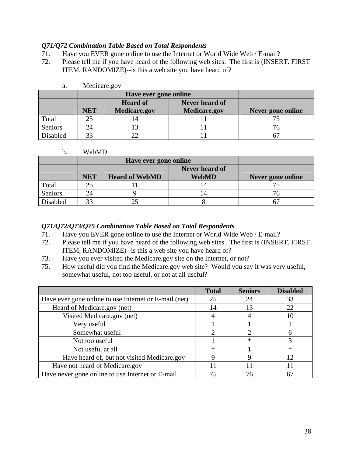## *Q71/Q72 Combination Table Based on Total Respondents*

- 71. Have you EVER gone online to use the Internet or World Wide Web / E-mail?
- 72. Please tell me if you have heard of the following web sites. The first is (INSERT. FIRST ITEM, RANDOMIZE)--is this a web site you have heard of?

| a.       |            | Medicare.gov        |                     |                   |
|----------|------------|---------------------|---------------------|-------------------|
|          |            |                     |                     |                   |
|          |            | <b>Heard of</b>     |                     |                   |
|          | <b>NET</b> | <b>Medicare.gov</b> | <b>Medicare.gov</b> | Never gone online |
| Total    | 25         | $\overline{4}$      |                     |                   |
| Seniors  | 24         |                     |                     |                   |
| Disabled | 33         | 22                  |                     |                   |

| b. | WebMD |
|----|-------|
|    |       |

|          |            | Have ever gone online |                   |  |
|----------|------------|-----------------------|-------------------|--|
|          |            |                       |                   |  |
|          | <b>NET</b> | <b>Heard of WebMD</b> | Never gone online |  |
| Total    | 25         |                       |                   |  |
| Seniors  | 24         |                       |                   |  |
| Disabled | 33         |                       |                   |  |

# *Q71/Q72/Q73/Q75 Combination Table Based on Total Respondents*

- 71. Have you EVER gone online to use the Internet or World Wide Web / E-mail?
- 72. Please tell me if you have heard of the following web sites. The first is (INSERT. FIRST ITEM, RANDOMIZE)--is this a web site you have heard of?
- 73. Have you ever visited the Medicare.gov site on the Internet, or not?
- 75. How useful did you find the Medicare.gov web site? Would you say it was very useful, somewhat useful, not too useful, or not at all useful?

|                                                       | <b>Total</b> | <b>Seniors</b> | <b>Disabled</b> |
|-------------------------------------------------------|--------------|----------------|-----------------|
| Have ever gone online to use Internet or E-mail (net) | 25           | 24             | 33              |
| Heard of Medicare.gov (net)                           | 14           | 13             | 22              |
| Visited Medicare.gov (net)                            |              |                | 10              |
| Very useful                                           |              |                |                 |
| Somewhat useful                                       |              |                |                 |
| Not too useful                                        |              | $\ast$         |                 |
| Not useful at all                                     | $\ast$       |                | $\ast$          |
| Have heard of, but not visited Medicare.gov           | Q            |                | 12              |
| Have not heard of Medicare.gov                        |              |                |                 |
| Have never gone online to use Internet or E-mail      |              | 76             | 6               |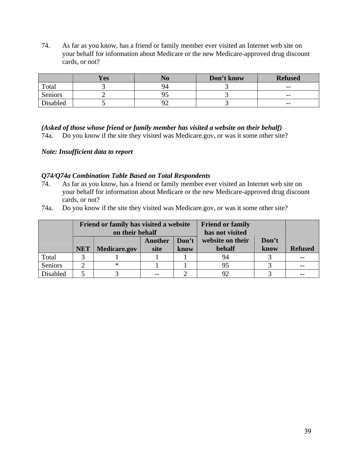74. As far as you know, has a friend or family member ever visited an Internet web site on your behalf for information about Medicare or the new Medicare-approved drug discount cards, or not?

|          | <b>Yes</b> | No | Don't know | <b>Refused</b> |
|----------|------------|----|------------|----------------|
| Total    |            | 94 |            | $- -$          |
| Seniors  |            |    |            | $- -$          |
| Disabled |            |    |            | $- -$          |

### *(Asked of those whose friend or family member has visited a website on their behalf)*

74a. Do you know if the site they visited was Medicare.gov, or was it some other site?

*Note: Insufficient data to report* 

### *Q74/Q74a Combination Table Based on Total Respondents*

- 74. As far as you know, has a friend or family member ever visited an Internet web site on your behalf for information about Medicare or the new Medicare-approved drug discount cards, or not?
- 74a. Do you know if the site they visited was Medicare.gov, or was it some other site?

|          | Friend or family has visited a website<br>on their behalf |                     |         | <b>Friend or family</b><br>has not visited |                  |       |                |
|----------|-----------------------------------------------------------|---------------------|---------|--------------------------------------------|------------------|-------|----------------|
|          |                                                           |                     | Another | Don't                                      | website on their | Don't |                |
|          | <b>NET</b>                                                | <b>Medicare.gov</b> | site    | know                                       | behalf           | know  | <b>Refused</b> |
| Total    |                                                           |                     |         |                                            | 94               |       |                |
| Seniors  |                                                           | $\ast$              |         |                                            |                  |       |                |
| Disabled |                                                           |                     |         |                                            |                  |       |                |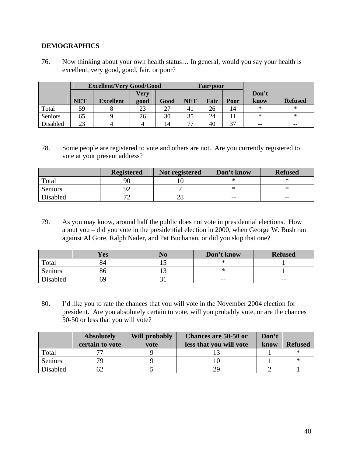### **DEMOGRAPHICS**

76. Now thinking about your own health status… In general, would you say your health is excellent, very good, good, fair, or poor?

|          |            | <b>Excellent/Very Good/Good</b> |             |      | Fair/poor      |      |      |        |                |
|----------|------------|---------------------------------|-------------|------|----------------|------|------|--------|----------------|
|          |            |                                 | <b>Very</b> |      |                |      |      | Don't  |                |
|          | <b>NET</b> | <b>Excellent</b>                | good        | Good | <b>NET</b>     | Fair | Poor | know   | <b>Refused</b> |
| Total    | 59         |                                 | 23          |      | 4 <sub>1</sub> | 26   | 14   | $\ast$ | $\ast$         |
| Seniors  | 65         |                                 | 26          | 30   | 35             | 24   |      | ∗      | $\ast$         |
| Disabled | 23         |                                 |             | 14   | 77             | 40   | 37   | $- -$  | $- -$          |

78. Some people are registered to vote and others are not. Are you currently registered to vote at your present address?

|                 | <b>Registered</b> | Not registered | Don't know | <b>Refused</b> |
|-----------------|-------------------|----------------|------------|----------------|
| Total           | 90                |                |            |                |
| Seniors         | <u>_</u>          |                |            |                |
| <b>Disabled</b> | ∼                 | 28             | $- -$      | $- -$          |

79. As you may know, around half the public does not vote in presidential elections. How about you – did you vote in the presidential election in 2000, when George W. Bush ran against Al Gore, Ralph Nader, and Pat Buchanan, or did you skip that one?

|          | Yes | NU  | Don't know | <b>Refused</b> |
|----------|-----|-----|------------|----------------|
| Total    |     | ⊥ ~ | ÷          |                |
| Seniors  | 8C  |     | ጥ          |                |
| Disabled | 65  |     | $- -$      | $- -$          |

80. I'd like you to rate the chances that you will vote in the November 2004 election for president. Are you absolutely certain to vote, will you probably vote, or are the chances 50-50 or less that you will vote?

|          | <b>Absolutely</b> | <b>Will probably</b> | Chances are 50-50 or    | Don't |                |
|----------|-------------------|----------------------|-------------------------|-------|----------------|
|          | certain to vote   | vote                 | less that you will vote | know  | <b>Refused</b> |
| Total    |                   |                      |                         |       |                |
| Seniors  |                   |                      |                         |       |                |
| Disabled |                   |                      | 29                      |       |                |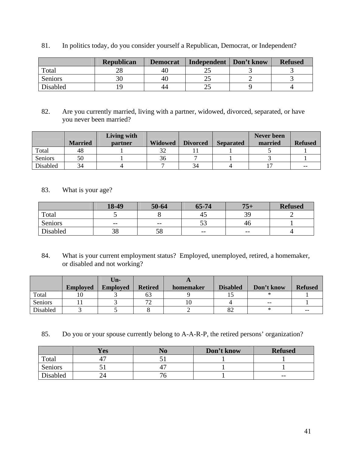81. In politics today, do you consider yourself a Republican, Democrat, or Independent?

|          | <b>Republican</b> | <b>Democrat</b> | Independent | Don't know | <b>Refused</b> |
|----------|-------------------|-----------------|-------------|------------|----------------|
| Total    | 20                | 40              |             |            |                |
| Seniors  | 30                | 40              | ت           |            |                |
| Disabled |                   | 44              |             |            |                |

82. Are you currently married, living with a partner, widowed, divorced, separated, or have you never been married?

|          |                | Living with    |                       |                 |                  | Never been |                |
|----------|----------------|----------------|-----------------------|-----------------|------------------|------------|----------------|
|          | <b>Married</b> | <b>partner</b> | <b>Widowed</b>        | <b>Divorced</b> | <b>Separated</b> | married    | <b>Refused</b> |
| Total    | 48             |                | $\mathfrak{D}$<br>ے ر |                 |                  |            |                |
| Seniors  | 50             |                | 36                    |                 |                  |            |                |
| Disabled | 34             |                |                       | 34              |                  |            | $-$            |

# 83. What is your age?

|          | 18-49    | 50-64 | 65-74 | 75       | <b>Refused</b> |
|----------|----------|-------|-------|----------|----------------|
| Total    |          |       | 43    | 39<br>ັ. |                |
| Seniors  | $- -$    | $- -$ | ັບ    | 4C       |                |
| Disabled | 20<br>oc | υo    | $- -$ | $- -$    |                |

84. What is your current employment status? Employed, unemployed, retired, a homemaker, or disabled and not working?

|          |                 | Un-             |                |           |                 |            |                |
|----------|-----------------|-----------------|----------------|-----------|-----------------|------------|----------------|
|          | <b>Employed</b> | <b>Employed</b> | <b>Retired</b> | homemaker | <b>Disabled</b> | Don't know | <b>Refused</b> |
| Total    | 10              |                 | 63             |           |                 |            |                |
| Seniors  |                 |                 | 77             |           |                 | $- -$      |                |
| Disabled |                 |                 |                |           | 82              |            | $- -$          |

85. Do you or your spouse currently belong to A-A-R-P, the retired persons' organization?

|                 | <b>Yes</b> | NO | Don't know | <b>Refused</b> |
|-----------------|------------|----|------------|----------------|
| Total           | ∸          |    |            |                |
| Seniors         |            |    |            |                |
| <b>Disabled</b> |            |    |            | $- -$          |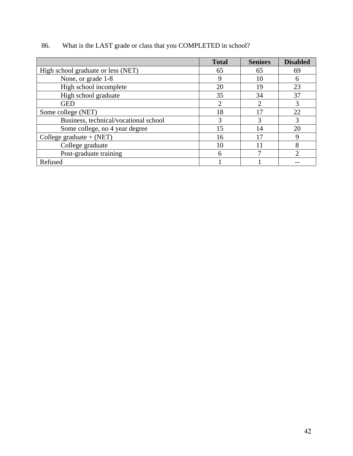|                                       | <b>Total</b>                | <b>Seniors</b>              | <b>Disabled</b> |
|---------------------------------------|-----------------------------|-----------------------------|-----------------|
| High school graduate or less (NET)    | 65                          | 65                          | 69              |
| None, or grade 1-8                    | 9                           | 10                          | 6               |
| High school incomplete                | 20                          | 19                          | 23              |
| High school graduate                  | 35                          | 34                          | 37              |
| <b>GED</b>                            | $\mathcal{D}_{\mathcal{L}}$ | $\mathcal{D}_{\mathcal{L}}$ | 3               |
| Some college (NET)                    | 18                          |                             | 22              |
| Business, technical/vocational school | 3                           |                             | 3               |
| Some college, no 4 year degree        | 15                          | 14                          | 20              |
| College graduate $+$ (NET)            | 16                          | 17                          |                 |
| College graduate                      | 10                          |                             | 8               |
| Post-graduate training                | 6                           | 7                           |                 |
| Refused                               |                             |                             |                 |

# 86. What is the LAST grade or class that you COMPLETED in school?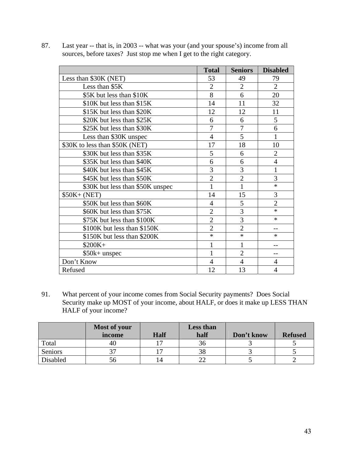|                                  | <b>Total</b>   | <b>Seniors</b> | <b>Disabled</b> |
|----------------------------------|----------------|----------------|-----------------|
| Less than \$30K (NET)            | 53             | 49             | 79              |
| Less than \$5K                   | $\overline{2}$ | $\overline{2}$ | $\overline{2}$  |
| \$5K but less than \$10K         | 8              | 6              | 20              |
| \$10K but less than \$15K        | 14             | 11             | 32              |
| \$15K but less than \$20K        | 12             | 12             | 11              |
| \$20K but less than \$25K        | 6              | 6              | 5               |
| \$25K but less than \$30K        | 7              | $\overline{7}$ | 6               |
| Less than \$30K unspec           | $\overline{4}$ | 5              | $\mathbf{1}$    |
| \$30K to less than \$50K (NET)   | 17             | 18             | 10              |
| \$30K but less than \$35K        | 5              | 6              | $\overline{2}$  |
| \$35K but less than \$40K        | 6              | 6              | $\overline{4}$  |
| \$40K but less than \$45K        | 3              | 3              | 1               |
| \$45K but less than \$50K        | $\overline{2}$ | $\overline{2}$ | 3               |
| \$30K but less than \$50K unspec | 1              | $\mathbf{1}$   | $\ast$          |
| $$50K+ (NET)$                    | 14             | 15             | 3               |
| \$50K but less than \$60K        | 4              | 5              | $\overline{2}$  |
| \$60K but less than \$75K        | $\overline{2}$ | $\overline{3}$ | $\ast$          |
| \$75K but less than \$100K       | $\overline{2}$ | $\overline{3}$ | $\ast$          |
| \$100K but less than \$150K      | $\overline{2}$ | $\overline{2}$ | $-1$            |
| \$150K but less than \$200K      | $\ast$         | $\ast$         | $\ast$          |
| $$200K+$                         | 1              | $\mathbf{1}$   |                 |
| $$50k+$ unspec                   | 1              | $\overline{2}$ |                 |
| Don't Know                       | $\overline{4}$ | $\overline{4}$ | 4               |
| Refused                          | 12             | 13             | 4               |

87. Last year -- that is, in 2003 -- what was your (and your spouse's) income from all sources, before taxes? Just stop me when I get to the right category.

91. What percent of your income comes from Social Security payments? Does Social Security make up MOST of your income, about HALF, or does it make up LESS THAN HALF of your income?

|          | <b>Most of your</b><br>income | <b>Half</b> | Less than<br>half | Don't know | <b>Refused</b> |
|----------|-------------------------------|-------------|-------------------|------------|----------------|
| Total    | 40                            |             | 36                |            |                |
| Seniors  |                               |             | 38                |            |                |
| Disabled | ჂႩ                            | 14          |                   |            |                |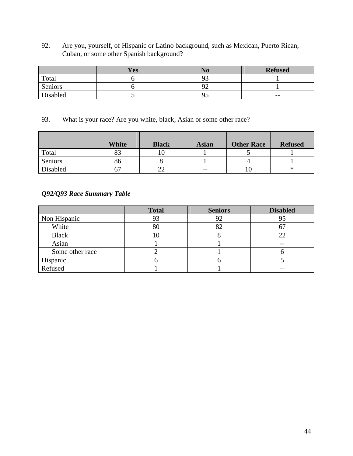92. Are you, yourself, of Hispanic or Latino background, such as Mexican, Puerto Rican, Cuban, or some other Spanish background?

|          | <b>Yes</b> |    | <b>Refused</b> |
|----------|------------|----|----------------|
| Total    |            |    |                |
| Seniors  |            |    |                |
| Disabled |            | 05 | $- -$          |

# 93. What is your race? Are you white, black, Asian or some other race?

|          | White | <b>Black</b> | <b>Asian</b> | <b>Other Race</b> | <b>Refused</b> |
|----------|-------|--------------|--------------|-------------------|----------------|
| Total    |       |              |              |                   |                |
| Seniors  | 86    |              |              |                   |                |
| Disabled |       | ററ           | $- -$        |                   | ∗              |

# *Q92/Q93 Race Summary Table*

|                 | <b>Total</b> | <b>Seniors</b> | <b>Disabled</b> |
|-----------------|--------------|----------------|-----------------|
| Non Hispanic    | 93           | 92             | 95              |
| White           | 80           |                |                 |
| <b>Black</b>    | ιv           |                | 22              |
| Asian           |              |                | --              |
| Some other race |              |                |                 |
| Hispanic        |              |                |                 |
| Refused         |              |                | --              |